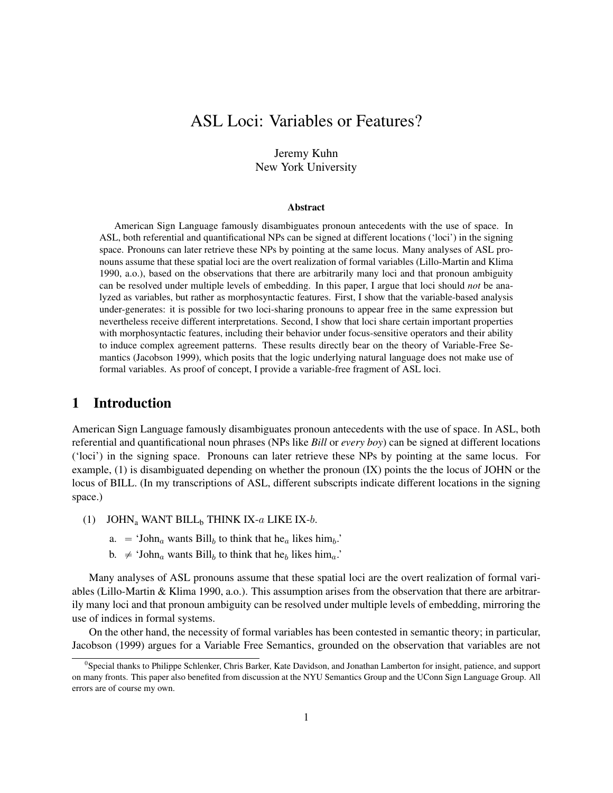# ASL Loci: Variables or Features?

### Jeremy Kuhn New York University

#### Abstract

American Sign Language famously disambiguates pronoun antecedents with the use of space. In ASL, both referential and quantificational NPs can be signed at different locations ('loci') in the signing space. Pronouns can later retrieve these NPs by pointing at the same locus. Many analyses of ASL pronouns assume that these spatial loci are the overt realization of formal variables (Lillo-Martin and Klima 1990, a.o.), based on the observations that there are arbitrarily many loci and that pronoun ambiguity can be resolved under multiple levels of embedding. In this paper, I argue that loci should *not* be analyzed as variables, but rather as morphosyntactic features. First, I show that the variable-based analysis under-generates: it is possible for two loci-sharing pronouns to appear free in the same expression but nevertheless receive different interpretations. Second, I show that loci share certain important properties with morphosyntactic features, including their behavior under focus-sensitive operators and their ability to induce complex agreement patterns. These results directly bear on the theory of Variable-Free Semantics (Jacobson 1999), which posits that the logic underlying natural language does not make use of formal variables. As proof of concept, I provide a variable-free fragment of ASL loci.

### 1 Introduction

American Sign Language famously disambiguates pronoun antecedents with the use of space. In ASL, both referential and quantificational noun phrases (NPs like *Bill* or *every boy*) can be signed at different locations ('loci') in the signing space. Pronouns can later retrieve these NPs by pointing at the same locus. For example, (1) is disambiguated depending on whether the pronoun (IX) points the the locus of JOHN or the locus of BILL. (In my transcriptions of ASL, different subscripts indicate different locations in the signing space.)

- (1) JOHN<sub>a</sub> WANT BILL<sub>b</sub> THINK IX- $a$  LIKE IX- $b$ .
	- a.  $=$  'John<sub>a</sub> wants Bill<sub>b</sub> to think that he<sub>a</sub> likes him<sub>b</sub>.'
	- b.  $\neq$  'John<sub>a</sub> wants Bill<sub>b</sub> to think that he<sub>b</sub> likes him<sub>a</sub>.'

Many analyses of ASL pronouns assume that these spatial loci are the overt realization of formal variables (Lillo-Martin & Klima 1990, a.o.). This assumption arises from the observation that there are arbitrarily many loci and that pronoun ambiguity can be resolved under multiple levels of embedding, mirroring the use of indices in formal systems.

On the other hand, the necessity of formal variables has been contested in semantic theory; in particular, Jacobson (1999) argues for a Variable Free Semantics, grounded on the observation that variables are not

<sup>&</sup>lt;sup>0</sup>Special thanks to Philippe Schlenker, Chris Barker, Kate Davidson, and Jonathan Lamberton for insight, patience, and support on many fronts. This paper also benefited from discussion at the NYU Semantics Group and the UConn Sign Language Group. All errors are of course my own.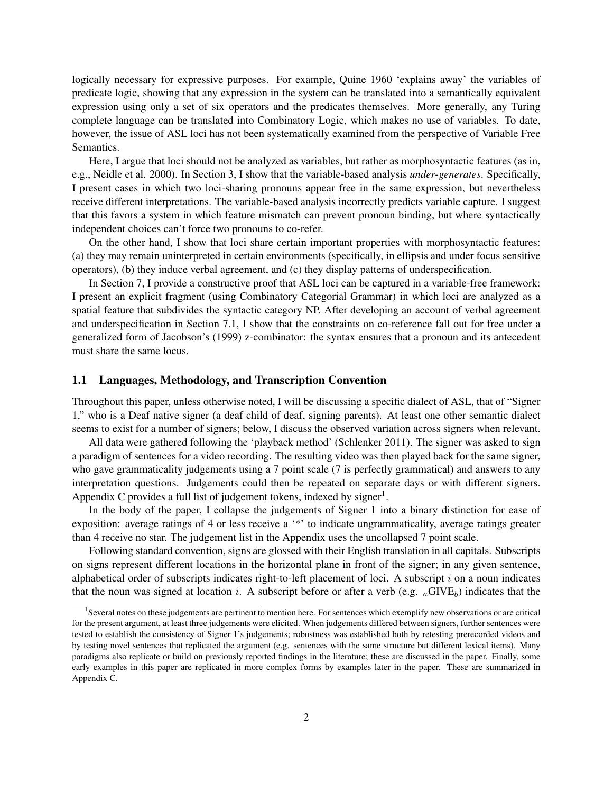logically necessary for expressive purposes. For example, Quine 1960 'explains away' the variables of predicate logic, showing that any expression in the system can be translated into a semantically equivalent expression using only a set of six operators and the predicates themselves. More generally, any Turing complete language can be translated into Combinatory Logic, which makes no use of variables. To date, however, the issue of ASL loci has not been systematically examined from the perspective of Variable Free Semantics.

Here, I argue that loci should not be analyzed as variables, but rather as morphosyntactic features (as in, e.g., Neidle et al. 2000). In Section 3, I show that the variable-based analysis *under-generates*. Specifically, I present cases in which two loci-sharing pronouns appear free in the same expression, but nevertheless receive different interpretations. The variable-based analysis incorrectly predicts variable capture. I suggest that this favors a system in which feature mismatch can prevent pronoun binding, but where syntactically independent choices can't force two pronouns to co-refer.

On the other hand, I show that loci share certain important properties with morphosyntactic features: (a) they may remain uninterpreted in certain environments (specifically, in ellipsis and under focus sensitive operators), (b) they induce verbal agreement, and (c) they display patterns of underspecification.

In Section 7, I provide a constructive proof that ASL loci can be captured in a variable-free framework: I present an explicit fragment (using Combinatory Categorial Grammar) in which loci are analyzed as a spatial feature that subdivides the syntactic category NP. After developing an account of verbal agreement and underspecification in Section 7.1, I show that the constraints on co-reference fall out for free under a generalized form of Jacobson's (1999) z-combinator: the syntax ensures that a pronoun and its antecedent must share the same locus.

### 1.1 Languages, Methodology, and Transcription Convention

Throughout this paper, unless otherwise noted, I will be discussing a specific dialect of ASL, that of "Signer 1," who is a Deaf native signer (a deaf child of deaf, signing parents). At least one other semantic dialect seems to exist for a number of signers; below, I discuss the observed variation across signers when relevant.

All data were gathered following the 'playback method' (Schlenker 2011). The signer was asked to sign a paradigm of sentences for a video recording. The resulting video was then played back for the same signer, who gave grammaticality judgements using a 7 point scale (7 is perfectly grammatical) and answers to any interpretation questions. Judgements could then be repeated on separate days or with different signers. Appendix C provides a full list of judgement tokens, indexed by signer<sup>1</sup>.

In the body of the paper, I collapse the judgements of Signer 1 into a binary distinction for ease of exposition: average ratings of 4 or less receive a '\*' to indicate ungrammaticality, average ratings greater than 4 receive no star. The judgement list in the Appendix uses the uncollapsed 7 point scale.

Following standard convention, signs are glossed with their English translation in all capitals. Subscripts on signs represent different locations in the horizontal plane in front of the signer; in any given sentence, alphabetical order of subscripts indicates right-to-left placement of loci. A subscript i on a noun indicates that the noun was signed at location i. A subscript before or after a verb (e.g.  $_a$ GIVE<sub>b</sub>) indicates that the

<sup>&</sup>lt;sup>1</sup>Several notes on these judgements are pertinent to mention here. For sentences which exemplify new observations or are critical for the present argument, at least three judgements were elicited. When judgements differed between signers, further sentences were tested to establish the consistency of Signer 1's judgements; robustness was established both by retesting prerecorded videos and by testing novel sentences that replicated the argument (e.g. sentences with the same structure but different lexical items). Many paradigms also replicate or build on previously reported findings in the literature; these are discussed in the paper. Finally, some early examples in this paper are replicated in more complex forms by examples later in the paper. These are summarized in Appendix C.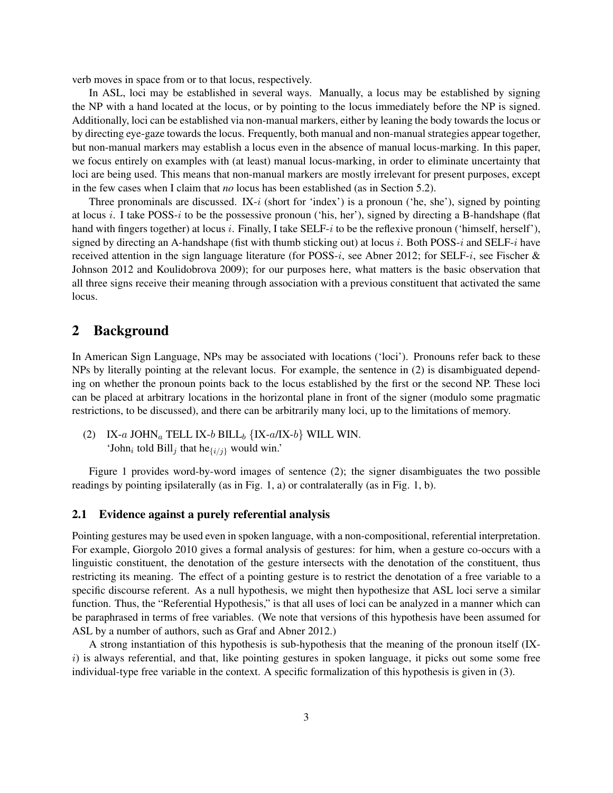verb moves in space from or to that locus, respectively.

In ASL, loci may be established in several ways. Manually, a locus may be established by signing the NP with a hand located at the locus, or by pointing to the locus immediately before the NP is signed. Additionally, loci can be established via non-manual markers, either by leaning the body towards the locus or by directing eye-gaze towards the locus. Frequently, both manual and non-manual strategies appear together, but non-manual markers may establish a locus even in the absence of manual locus-marking. In this paper, we focus entirely on examples with (at least) manual locus-marking, in order to eliminate uncertainty that loci are being used. This means that non-manual markers are mostly irrelevant for present purposes, except in the few cases when I claim that *no* locus has been established (as in Section 5.2).

Three pronominals are discussed. IX- $i$  (short for 'index') is a pronoun ('he, she'), signed by pointing at locus i. I take POSS-i to be the possessive pronoun ('his, her'), signed by directing a B-handshape (flat hand with fingers together) at locus i. Finally, I take SELF-i to be the reflexive pronoun ('himself, herself'), signed by directing an A-handshape (fist with thumb sticking out) at locus i. Both POSS-i and SELF-i have received attention in the sign language literature (for POSS-i, see Abner 2012; for SELF-i, see Fischer  $\&$ Johnson 2012 and Koulidobrova 2009); for our purposes here, what matters is the basic observation that all three signs receive their meaning through association with a previous constituent that activated the same locus.

### 2 Background

In American Sign Language, NPs may be associated with locations ('loci'). Pronouns refer back to these NPs by literally pointing at the relevant locus. For example, the sentence in (2) is disambiguated depending on whether the pronoun points back to the locus established by the first or the second NP. These loci can be placed at arbitrary locations in the horizontal plane in front of the signer (modulo some pragmatic restrictions, to be discussed), and there can be arbitrarily many loci, up to the limitations of memory.

(2) IX-a JOHN<sub>a</sub> TELL IX-b BILL<sub>b</sub>  ${IX-a/IX-b}$  WILL WIN. 'John<sub>i</sub> told Bill<sub>j</sub> that he $\{i/j\}$  would win.'

Figure 1 provides word-by-word images of sentence (2); the signer disambiguates the two possible readings by pointing ipsilaterally (as in Fig. 1, a) or contralaterally (as in Fig. 1, b).

### 2.1 Evidence against a purely referential analysis

Pointing gestures may be used even in spoken language, with a non-compositional, referential interpretation. For example, Giorgolo 2010 gives a formal analysis of gestures: for him, when a gesture co-occurs with a linguistic constituent, the denotation of the gesture intersects with the denotation of the constituent, thus restricting its meaning. The effect of a pointing gesture is to restrict the denotation of a free variable to a specific discourse referent. As a null hypothesis, we might then hypothesize that ASL loci serve a similar function. Thus, the "Referential Hypothesis," is that all uses of loci can be analyzed in a manner which can be paraphrased in terms of free variables. (We note that versions of this hypothesis have been assumed for ASL by a number of authors, such as Graf and Abner 2012.)

A strong instantiation of this hypothesis is sub-hypothesis that the meaning of the pronoun itself (IX $i)$  is always referential, and that, like pointing gestures in spoken language, it picks out some some free individual-type free variable in the context. A specific formalization of this hypothesis is given in (3).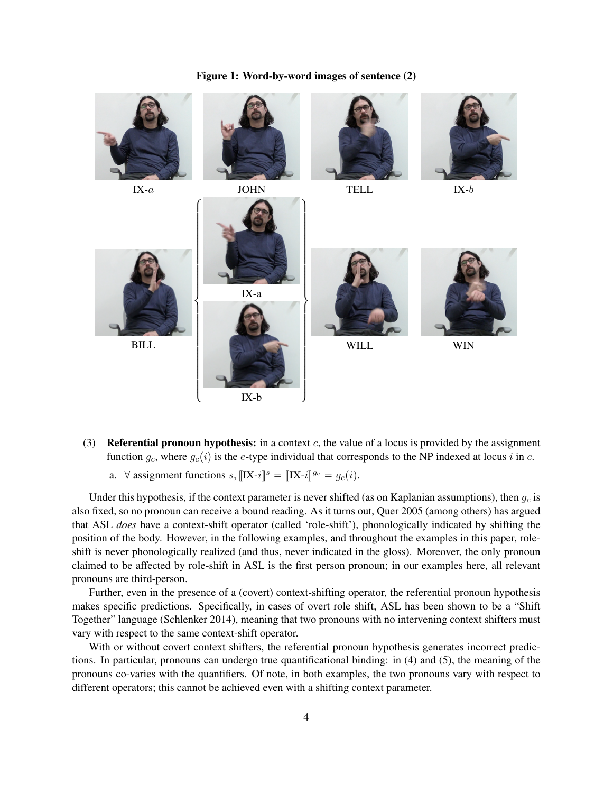

### Figure 1: Word-by-word images of sentence (2)

- (3) **Referential pronoun hypothesis:** in a context c, the value of a locus is provided by the assignment function  $g_c$ , where  $g_c(i)$  is the e-type individual that corresponds to the NP indexed at locus i in c.
	- a.  $\forall$  assignment functions  $s, [[\mathbf{X}-i]]^s = [[\mathbf{X}-i]]^{g_c} = g_c(i)$ .

Under this hypothesis, if the context parameter is never shifted (as on Kaplanian assumptions), then  $q_c$  is also fixed, so no pronoun can receive a bound reading. As it turns out, Quer 2005 (among others) has argued that ASL *does* have a context-shift operator (called 'role-shift'), phonologically indicated by shifting the position of the body. However, in the following examples, and throughout the examples in this paper, roleshift is never phonologically realized (and thus, never indicated in the gloss). Moreover, the only pronoun claimed to be affected by role-shift in ASL is the first person pronoun; in our examples here, all relevant pronouns are third-person.

Further, even in the presence of a (covert) context-shifting operator, the referential pronoun hypothesis makes specific predictions. Specifically, in cases of overt role shift, ASL has been shown to be a "Shift Together" language (Schlenker 2014), meaning that two pronouns with no intervening context shifters must vary with respect to the same context-shift operator.

With or without covert context shifters, the referential pronoun hypothesis generates incorrect predictions. In particular, pronouns can undergo true quantificational binding: in (4) and (5), the meaning of the pronouns co-varies with the quantifiers. Of note, in both examples, the two pronouns vary with respect to different operators; this cannot be achieved even with a shifting context parameter.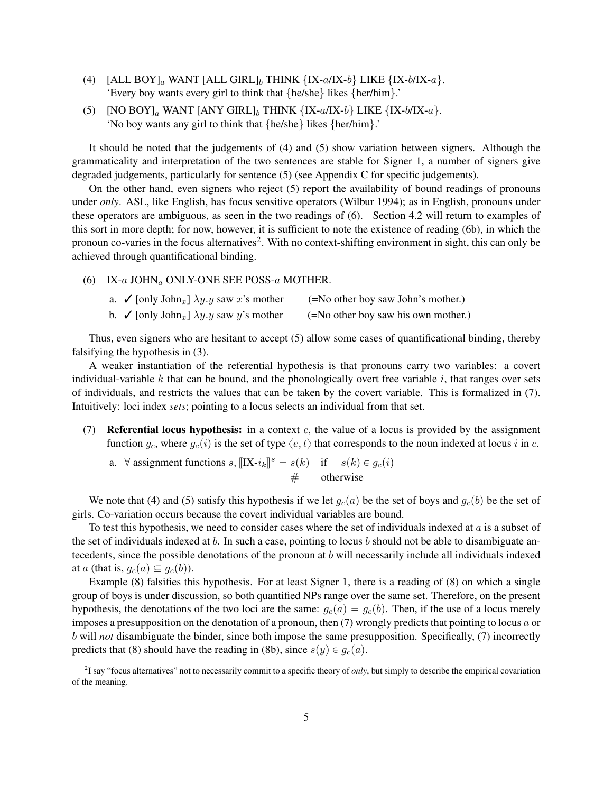- (4)  $[ALL BOY]_a$  WANT  $[ALL GIRL]_b$  THINK  ${IX-a/IX-b}$  LIKE  ${IX-b/IX-a}$ . 'Every boy wants every girl to think that {he/she} likes {her/him}.'
- (5)  $[NO BOY]_a$  WANT  $[ANY \text{ GIRL}]_b$  THINK  ${IX-a/IX-b}$  LIKE  ${IX-b/IX-a}$ . 'No boy wants any girl to think that {he/she} likes {her/him}.'

It should be noted that the judgements of (4) and (5) show variation between signers. Although the grammaticality and interpretation of the two sentences are stable for Signer 1, a number of signers give degraded judgements, particularly for sentence (5) (see Appendix C for specific judgements).

On the other hand, even signers who reject (5) report the availability of bound readings of pronouns under *only*. ASL, like English, has focus sensitive operators (Wilbur 1994); as in English, pronouns under these operators are ambiguous, as seen in the two readings of (6). Section 4.2 will return to examples of this sort in more depth; for now, however, it is sufficient to note the existence of reading (6b), in which the pronoun co-varies in the focus alternatives<sup>2</sup>. With no context-shifting environment in sight, this can only be achieved through quantificational binding.

(6) IX- $a$  JOHN $_a$  ONLY-ONE SEE POSS- $a$  MOTHER.

| a. $\checkmark$ [only John <sub>x</sub> ] $\lambda y.y$ saw x's mother  | (=No other boy saw John's mother.)  |
|-------------------------------------------------------------------------|-------------------------------------|
| b. $\checkmark$ [only John <sub>x</sub> ] $\lambda y. y$ saw y's mother | (=No other boy saw his own mother.) |

Thus, even signers who are hesitant to accept (5) allow some cases of quantificational binding, thereby falsifying the hypothesis in (3).

A weaker instantiation of the referential hypothesis is that pronouns carry two variables: a covert individual-variable  $k$  that can be bound, and the phonologically overt free variable  $i$ , that ranges over sets of individuals, and restricts the values that can be taken by the covert variable. This is formalized in (7). Intuitively: loci index *sets*; pointing to a locus selects an individual from that set.

- (7) **Referential locus hypothesis:** in a context c, the value of a locus is provided by the assignment function  $g_c$ , where  $g_c(i)$  is the set of type  $\langle e, t \rangle$  that corresponds to the noun indexed at locus i in c.
	- a.  $\forall$  assignment functions  $s$ ,  $\llbracket$ IX- $i_k \rrbracket^s = s(k)$  if  $s(k) \in g_c(i)$  $#$  otherwise

We note that (4) and (5) satisfy this hypothesis if we let  $g_c(a)$  be the set of boys and  $g_c(b)$  be the set of girls. Co-variation occurs because the covert individual variables are bound.

To test this hypothesis, we need to consider cases where the set of individuals indexed at a is a subset of the set of individuals indexed at b. In such a case, pointing to locus b should not be able to disambiguate antecedents, since the possible denotations of the pronoun at b will necessarily include all individuals indexed at a (that is,  $g_c(a) \subseteq g_c(b)$ ).

Example (8) falsifies this hypothesis. For at least Signer 1, there is a reading of (8) on which a single group of boys is under discussion, so both quantified NPs range over the same set. Therefore, on the present hypothesis, the denotations of the two loci are the same:  $g_c(a) = g_c(b)$ . Then, if the use of a locus merely imposes a presupposition on the denotation of a pronoun, then  $(7)$  wrongly predicts that pointing to locus a or b will *not* disambiguate the binder, since both impose the same presupposition. Specifically, (7) incorrectly predicts that (8) should have the reading in (8b), since  $s(y) \in g_c(a)$ .

<sup>&</sup>lt;sup>2</sup>I say "focus alternatives" not to necessarily commit to a specific theory of *only*, but simply to describe the empirical covariation of the meaning.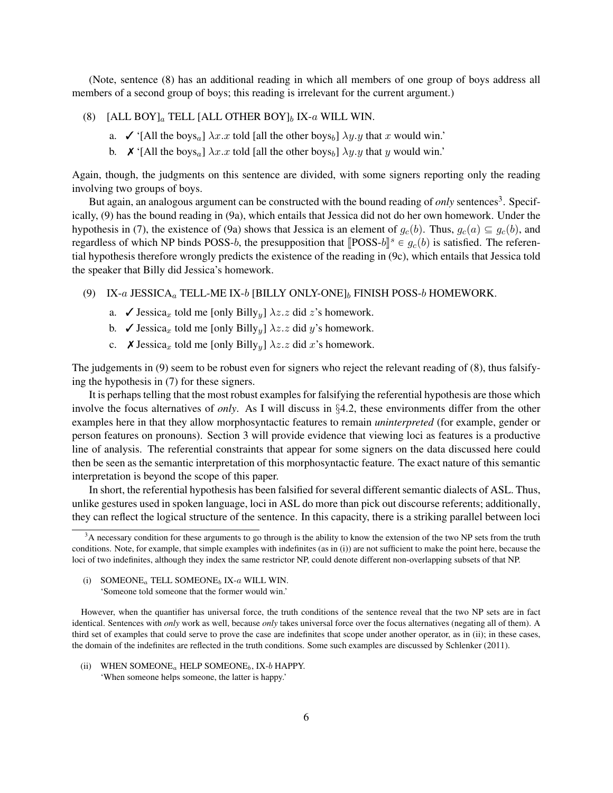(Note, sentence (8) has an additional reading in which all members of one group of boys address all members of a second group of boys; this reading is irrelevant for the current argument.)

- (8) [ALL BOY]<sub>a</sub> TELL [ALL OTHER BOY]<sub>b</sub> IX-a WILL WIN.
	- a.  $\checkmark$  '[All the boys<sub>a</sub>]  $\lambda x.x$  told [all the other boys<sub>b</sub>]  $\lambda y.y$  that x would win.'
	- b.  $\mathbf{X}$  '[All the boys<sub>a</sub>]  $\lambda x.x$  told [all the other boys<sub>b</sub>]  $\lambda y.y$  that y would win.'

Again, though, the judgments on this sentence are divided, with some signers reporting only the reading involving two groups of boys.

But again, an analogous argument can be constructed with the bound reading of *only* sentences<sup>3</sup>. Specifically, (9) has the bound reading in (9a), which entails that Jessica did not do her own homework. Under the hypothesis in (7), the existence of (9a) shows that Jessica is an element of  $g_c(b)$ . Thus,  $g_c(a) \subseteq g_c(b)$ , and regardless of which NP binds POSS-b, the presupposition that  $[\text{POSS-}b]^s \in g_c(b)$  is satisfied. The referen-<br>tial hypothosis therefore urregaly predicts the existence of the reading in (0.0) which entails that Legise told tial hypothesis therefore wrongly predicts the existence of the reading in (9c), which entails that Jessica told the speaker that Billy did Jessica's homework.

- (9) IX-a JESSICA<sub>a</sub> TELL-ME IX-b [BILLY ONLY-ONE]<sub>b</sub> FINISH POSS-b HOMEWORK.
	- a.  $\checkmark$  Jessica<sub>x</sub> told me [only Billy<sub>y</sub>]  $\lambda z.z$  did z's homework.
	- b.  $\checkmark$  Jessica<sub>x</sub> told me [only Billy<sub>y</sub>]  $\lambda z.z$  did y's homework.
	- c.  $\boldsymbol{\chi}$  Jessica<sub>x</sub> told me [only Billy<sub>y</sub>]  $\lambda z. z$  did x's homework.

The judgements in (9) seem to be robust even for signers who reject the relevant reading of (8), thus falsifying the hypothesis in (7) for these signers.

It is perhaps telling that the most robust examples for falsifying the referential hypothesis are those which involve the focus alternatives of *only*. As I will discuss in §4.2, these environments differ from the other examples here in that they allow morphosyntactic features to remain *uninterpreted* (for example, gender or person features on pronouns). Section 3 will provide evidence that viewing loci as features is a productive line of analysis. The referential constraints that appear for some signers on the data discussed here could then be seen as the semantic interpretation of this morphosyntactic feature. The exact nature of this semantic interpretation is beyond the scope of this paper.

In short, the referential hypothesis has been falsified for several different semantic dialects of ASL. Thus, unlike gestures used in spoken language, loci in ASL do more than pick out discourse referents; additionally, they can reflect the logical structure of the sentence. In this capacity, there is a striking parallel between loci

(i) SOMEONE<sub>a</sub> TELL SOMEONE<sub>b</sub> IX-a WILL WIN. 'Someone told someone that the former would win.'

However, when the quantifier has universal force, the truth conditions of the sentence reveal that the two NP sets are in fact identical. Sentences with *only* work as well, because *only* takes universal force over the focus alternatives (negating all of them). A third set of examples that could serve to prove the case are indefinites that scope under another operator, as in (ii); in these cases, the domain of the indefinites are reflected in the truth conditions. Some such examples are discussed by Schlenker (2011).

(ii) WHEN SOMEONE<sub>a</sub> HELP SOMEONE<sub>b</sub>, IX-b HAPPY. 'When someone helps someone, the latter is happy.'

<sup>&</sup>lt;sup>3</sup>A necessary condition for these arguments to go through is the ability to know the extension of the two NP sets from the truth conditions. Note, for example, that simple examples with indefinites (as in (i)) are not sufficient to make the point here, because the loci of two indefinites, although they index the same restrictor NP, could denote different non-overlapping subsets of that NP.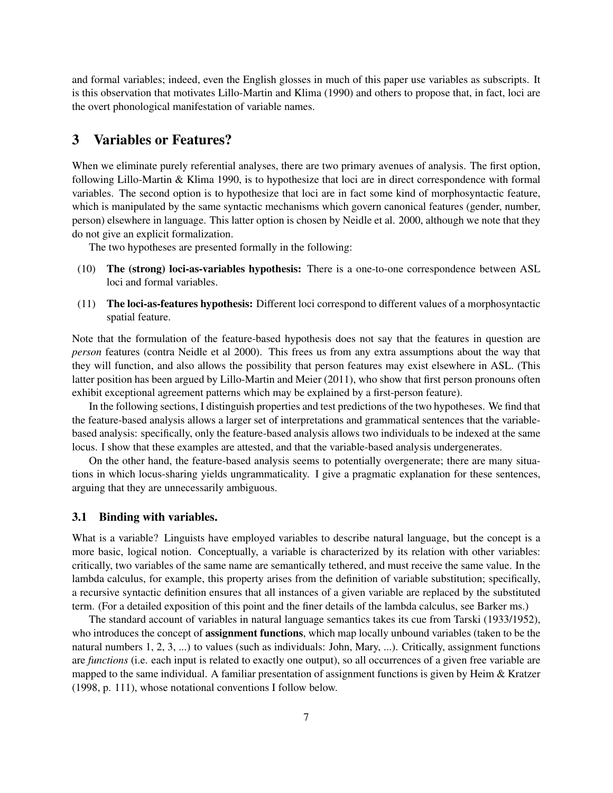and formal variables; indeed, even the English glosses in much of this paper use variables as subscripts. It is this observation that motivates Lillo-Martin and Klima (1990) and others to propose that, in fact, loci are the overt phonological manifestation of variable names.

## 3 Variables or Features?

When we eliminate purely referential analyses, there are two primary avenues of analysis. The first option, following Lillo-Martin & Klima 1990, is to hypothesize that loci are in direct correspondence with formal variables. The second option is to hypothesize that loci are in fact some kind of morphosyntactic feature, which is manipulated by the same syntactic mechanisms which govern canonical features (gender, number, person) elsewhere in language. This latter option is chosen by Neidle et al. 2000, although we note that they do not give an explicit formalization.

The two hypotheses are presented formally in the following:

- (10) The (strong) loci-as-variables hypothesis: There is a one-to-one correspondence between ASL loci and formal variables.
- (11) The loci-as-features hypothesis: Different loci correspond to different values of a morphosyntactic spatial feature.

Note that the formulation of the feature-based hypothesis does not say that the features in question are *person* features (contra Neidle et al 2000). This frees us from any extra assumptions about the way that they will function, and also allows the possibility that person features may exist elsewhere in ASL. (This latter position has been argued by Lillo-Martin and Meier (2011), who show that first person pronouns often exhibit exceptional agreement patterns which may be explained by a first-person feature).

In the following sections, I distinguish properties and test predictions of the two hypotheses. We find that the feature-based analysis allows a larger set of interpretations and grammatical sentences that the variablebased analysis: specifically, only the feature-based analysis allows two individuals to be indexed at the same locus. I show that these examples are attested, and that the variable-based analysis undergenerates.

On the other hand, the feature-based analysis seems to potentially overgenerate; there are many situations in which locus-sharing yields ungrammaticality. I give a pragmatic explanation for these sentences, arguing that they are unnecessarily ambiguous.

### 3.1 Binding with variables.

What is a variable? Linguists have employed variables to describe natural language, but the concept is a more basic, logical notion. Conceptually, a variable is characterized by its relation with other variables: critically, two variables of the same name are semantically tethered, and must receive the same value. In the lambda calculus, for example, this property arises from the definition of variable substitution; specifically, a recursive syntactic definition ensures that all instances of a given variable are replaced by the substituted term. (For a detailed exposition of this point and the finer details of the lambda calculus, see Barker ms.)

The standard account of variables in natural language semantics takes its cue from Tarski (1933/1952), who introduces the concept of **assignment functions**, which map locally unbound variables (taken to be the natural numbers 1, 2, 3, ...) to values (such as individuals: John, Mary, ...). Critically, assignment functions are *functions* (i.e. each input is related to exactly one output), so all occurrences of a given free variable are mapped to the same individual. A familiar presentation of assignment functions is given by Heim & Kratzer (1998, p. 111), whose notational conventions I follow below.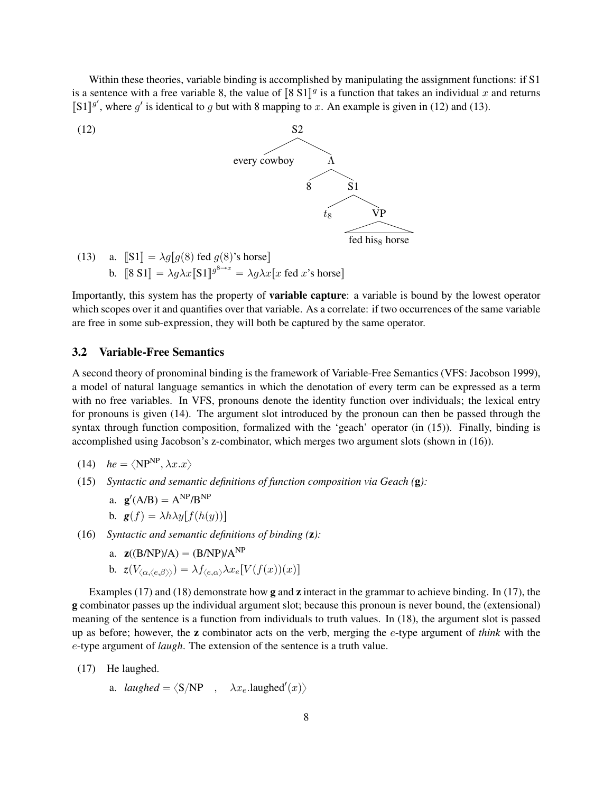Within these theories, variable binding is accomplished by manipulating the assignment functions: if S1 is a sentence with a free variable 8, the value of  $\llbracket 8 \text{ } 51 \rrbracket^g$  is a function that takes an individual x and returns  $\llbracket 51 \rrbracket^g$  where  $g'$  is identical to g but with 8 mapping to  $x$ . An example is given in  $[\![S1]\!]^{g'}$ , where g' is identical to g but with 8 mapping to x. An example is given in (12) and (13).



Importantly, this system has the property of variable capture: a variable is bound by the lowest operator which scopes over it and quantifies over that variable. As a correlate: if two occurrences of the same variable are free in some sub-expression, they will both be captured by the same operator.

### 3.2 Variable-Free Semantics

A second theory of pronominal binding is the framework of Variable-Free Semantics (VFS: Jacobson 1999), a model of natural language semantics in which the denotation of every term can be expressed as a term with no free variables. In VFS, pronouns denote the identity function over individuals; the lexical entry for pronouns is given (14). The argument slot introduced by the pronoun can then be passed through the syntax through function composition, formalized with the 'geach' operator (in (15)). Finally, binding is accomplished using Jacobson's z-combinator, which merges two argument slots (shown in (16)).

$$
(14) \quad he = \langle NP^{NP}, \lambda x. x \rangle
$$

(15) *Syntactic and semantic definitions of function composition via Geach (*g*):*

a. 
$$
\mathbf{g}'(A/B) = A^{NP}/B^{NP}
$$

- b.  $g(f) = \lambda h \lambda y[f(h(y))]$
- (16) *Syntactic and semantic definitions of binding (*z*):*
	- a.  $\mathbf{z}((B/NP)/A) = (B/NP)/A^{NP}$
	- b.  $z(V_{\langle \alpha, \langle e, \beta \rangle \rangle}) = \lambda f_{\langle e, \alpha \rangle} \lambda x_e[V(f(x))(x)]$

Examples (17) and (18) demonstrate how g and z interact in the grammar to achieve binding. In (17), the g combinator passes up the individual argument slot; because this pronoun is never bound, the (extensional) meaning of the sentence is a function from individuals to truth values. In (18), the argument slot is passed up as before; however, the z combinator acts on the verb, merging the e-type argument of *think* with the e-type argument of *laugh*. The extension of the sentence is a truth value.

- (17) He laughed.
	- a. *laughed* =  $\langle S/NP \quad , \quad \lambda x_e$ .laughed'(x))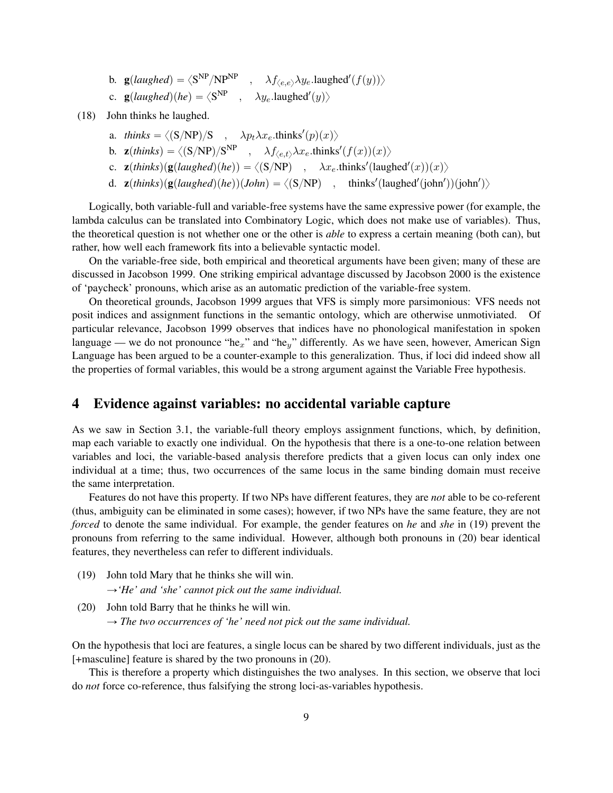- b.  $\mathbf{g}(laughed) = \langle \mathbf{S}^{\text{NP}}/\mathbf{NP}^{\text{NP}}$ ,  $\lambda f_{\langle e,e \rangle} \lambda y_e$ .laughed' $\langle f(y) \rangle$
- c.  $\mathbf{g}( \text{laughed})(he) = \langle \mathbf{S}^{\text{NP}} \rangle$ ,  $\lambda y_e$ .laughed'(y))
- (18) John thinks he laughed.
	- a. *thinks* =  $\langle (S/NP)/S , \lambda p_t \lambda x_e$ .thinks<sup>'</sup>(p)(x))
	- b.  $\mathbf{z}(thinks) = \langle (S/NP)/S^{NP} \ , \ \ \lambda f_{\langle e, t \rangle} \lambda x_e \cdot thinks'(f(x))(x) \rangle$
	- c.  $\mathbf{z}(thinks)(\mathbf{g}(laughed)(he)) = \langle (S/NP) , \lambda x_e \cdot thinks'(laughed'(x))(x) \rangle$
	- d.  $\mathbf{z}(thinks)(\mathbf{g}(laughed)(he))(John) = \langle (S/NP) \quad , \quad thinks'(laughed'(john'))(john')\rangle$

Logically, both variable-full and variable-free systems have the same expressive power (for example, the lambda calculus can be translated into Combinatory Logic, which does not make use of variables). Thus, the theoretical question is not whether one or the other is *able* to express a certain meaning (both can), but rather, how well each framework fits into a believable syntactic model.

On the variable-free side, both empirical and theoretical arguments have been given; many of these are discussed in Jacobson 1999. One striking empirical advantage discussed by Jacobson 2000 is the existence of 'paycheck' pronouns, which arise as an automatic prediction of the variable-free system.

On theoretical grounds, Jacobson 1999 argues that VFS is simply more parsimonious: VFS needs not posit indices and assignment functions in the semantic ontology, which are otherwise unmotiviated. Of particular relevance, Jacobson 1999 observes that indices have no phonological manifestation in spoken language — we do not pronounce "he<sub>x</sub>" and "he<sub>y</sub>" differently. As we have seen, however, American Sign Language has been argued to be a counter-example to this generalization. Thus, if loci did indeed show all the properties of formal variables, this would be a strong argument against the Variable Free hypothesis.

### 4 Evidence against variables: no accidental variable capture

As we saw in Section 3.1, the variable-full theory employs assignment functions, which, by definition, map each variable to exactly one individual. On the hypothesis that there is a one-to-one relation between variables and loci, the variable-based analysis therefore predicts that a given locus can only index one individual at a time; thus, two occurrences of the same locus in the same binding domain must receive the same interpretation.

Features do not have this property. If two NPs have different features, they are *not* able to be co-referent (thus, ambiguity can be eliminated in some cases); however, if two NPs have the same feature, they are not *forced* to denote the same individual. For example, the gender features on *he* and *she* in (19) prevent the pronouns from referring to the same individual. However, although both pronouns in (20) bear identical features, they nevertheless can refer to different individuals.

- (19) John told Mary that he thinks she will win.  $\rightarrow$  *He' and 'she' cannot pick out the same individual.*
- (20) John told Barry that he thinks he will win.  $\rightarrow$  The two occurrences of 'he' need not pick out the same individual.

On the hypothesis that loci are features, a single locus can be shared by two different individuals, just as the [+masculine] feature is shared by the two pronouns in (20).

This is therefore a property which distinguishes the two analyses. In this section, we observe that loci do *not* force co-reference, thus falsifying the strong loci-as-variables hypothesis.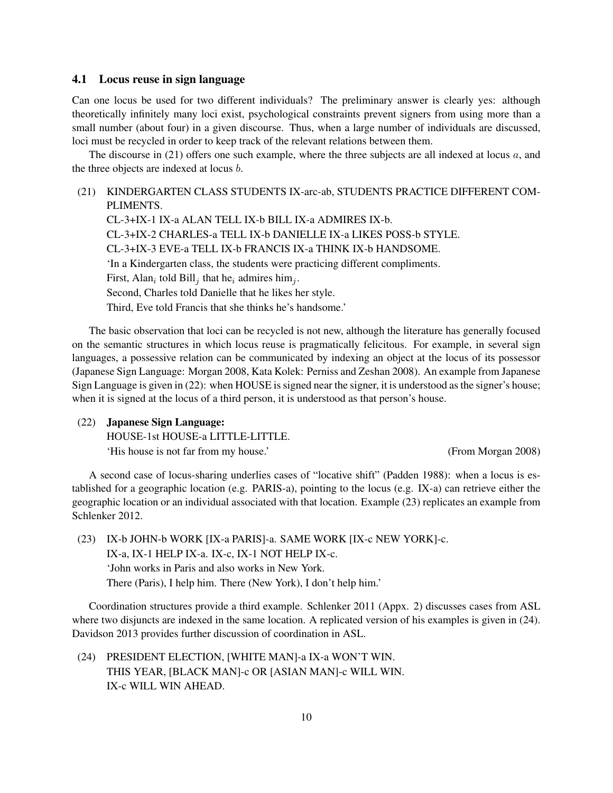### 4.1 Locus reuse in sign language

Can one locus be used for two different individuals? The preliminary answer is clearly yes: although theoretically infinitely many loci exist, psychological constraints prevent signers from using more than a small number (about four) in a given discourse. Thus, when a large number of individuals are discussed, loci must be recycled in order to keep track of the relevant relations between them.

The discourse in (21) offers one such example, where the three subjects are all indexed at locus  $a$ , and the three objects are indexed at locus b.

### (21) KINDERGARTEN CLASS STUDENTS IX-arc-ab, STUDENTS PRACTICE DIFFERENT COM-PLIMENTS.

CL-3+IX-1 IX-a ALAN TELL IX-b BILL IX-a ADMIRES IX-b. CL-3+IX-2 CHARLES-a TELL IX-b DANIELLE IX-a LIKES POSS-b STYLE. CL-3+IX-3 EVE-a TELL IX-b FRANCIS IX-a THINK IX-b HANDSOME. 'In a Kindergarten class, the students were practicing different compliments. First, Alan<sub>i</sub> told Bill<sub>j</sub> that he<sub>i</sub> admires him<sub>j</sub>. Second, Charles told Danielle that he likes her style. Third, Eve told Francis that she thinks he's handsome.'

The basic observation that loci can be recycled is not new, although the literature has generally focused on the semantic structures in which locus reuse is pragmatically felicitous. For example, in several sign languages, a possessive relation can be communicated by indexing an object at the locus of its possessor (Japanese Sign Language: Morgan 2008, Kata Kolek: Perniss and Zeshan 2008). An example from Japanese Sign Language is given in (22): when HOUSE is signed near the signer, it is understood as the signer's house; when it is signed at the locus of a third person, it is understood as that person's house.

(22) Japanese Sign Language:

HOUSE-1st HOUSE-a LITTLE-LITTLE. 'His house is not far from my house.' (From Morgan 2008)

A second case of locus-sharing underlies cases of "locative shift" (Padden 1988): when a locus is established for a geographic location (e.g. PARIS-a), pointing to the locus (e.g. IX-a) can retrieve either the geographic location or an individual associated with that location. Example (23) replicates an example from Schlenker 2012.

(23) IX-b JOHN-b WORK [IX-a PARIS]-a. SAME WORK [IX-c NEW YORK]-c. IX-a, IX-1 HELP IX-a. IX-c, IX-1 NOT HELP IX-c. 'John works in Paris and also works in New York. There (Paris), I help him. There (New York), I don't help him.'

Coordination structures provide a third example. Schlenker 2011 (Appx. 2) discusses cases from ASL where two disjuncts are indexed in the same location. A replicated version of his examples is given in  $(24)$ . Davidson 2013 provides further discussion of coordination in ASL.

(24) PRESIDENT ELECTION, [WHITE MAN]-a IX-a WON'T WIN. THIS YEAR, [BLACK MAN]-c OR [ASIAN MAN]-c WILL WIN. IX-c WILL WIN AHEAD.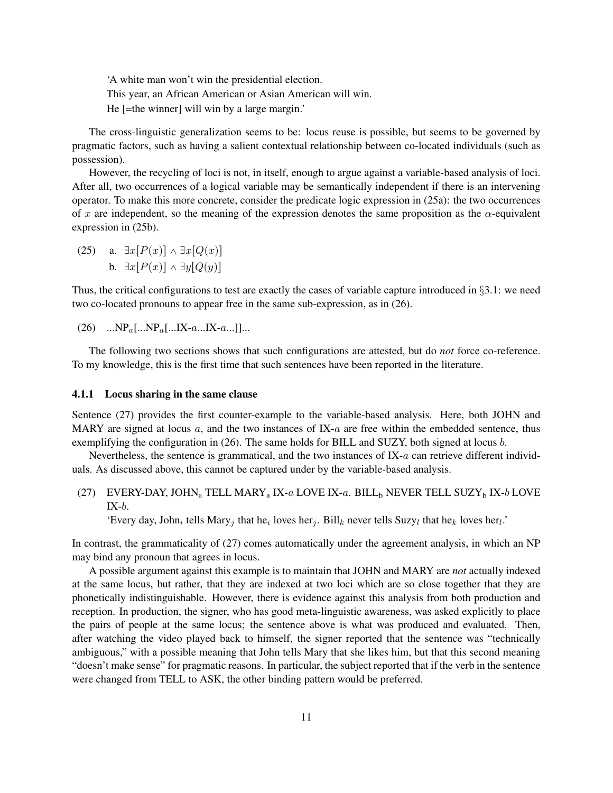'A white man won't win the presidential election. This year, an African American or Asian American will win. He [=the winner] will win by a large margin.'

The cross-linguistic generalization seems to be: locus reuse is possible, but seems to be governed by pragmatic factors, such as having a salient contextual relationship between co-located individuals (such as possession).

However, the recycling of loci is not, in itself, enough to argue against a variable-based analysis of loci. After all, two occurrences of a logical variable may be semantically independent if there is an intervening operator. To make this more concrete, consider the predicate logic expression in (25a): the two occurrences of x are independent, so the meaning of the expression denotes the same proposition as the  $\alpha$ -equivalent expression in (25b).

(25) a.  $\exists x [P(x)] \wedge \exists x [Q(x)]$ b.  $\exists x [P(x)] \wedge \exists y [Q(y)]$ 

Thus, the critical configurations to test are exactly the cases of variable capture introduced in §3.1: we need two co-located pronouns to appear free in the same sub-expression, as in (26).

(26)  $...NP_a[...NP_a[...IX-a...IX-a...]]...$ 

The following two sections shows that such configurations are attested, but do *not* force co-reference. To my knowledge, this is the first time that such sentences have been reported in the literature.

#### 4.1.1 Locus sharing in the same clause

Sentence (27) provides the first counter-example to the variable-based analysis. Here, both JOHN and MARY are signed at locus  $a$ , and the two instances of IX- $a$  are free within the embedded sentence, thus exemplifying the configuration in (26). The same holds for BILL and SUZY, both signed at locus b.

Nevertheless, the sentence is grammatical, and the two instances of IX-a can retrieve different individuals. As discussed above, this cannot be captured under by the variable-based analysis.

(27) EVERY-DAY, JOHN<sub>a</sub> TELL MARY<sub>a</sub> IX-a LOVE IX-a. BILL<sub>b</sub> NEVER TELL SUZY<sub>b</sub> IX-b LOVE  $IX-b.$ 

'Every day, John<sub>i</sub> tells Mary<sub>j</sub> that he<sub>i</sub> loves her<sub>j</sub>. Bill<sub>k</sub> never tells Suzy<sub>l</sub> that he<sub>k</sub> loves her<sub>l</sub>.'

In contrast, the grammaticality of (27) comes automatically under the agreement analysis, in which an NP may bind any pronoun that agrees in locus.

A possible argument against this example is to maintain that JOHN and MARY are *not* actually indexed at the same locus, but rather, that they are indexed at two loci which are so close together that they are phonetically indistinguishable. However, there is evidence against this analysis from both production and reception. In production, the signer, who has good meta-linguistic awareness, was asked explicitly to place the pairs of people at the same locus; the sentence above is what was produced and evaluated. Then, after watching the video played back to himself, the signer reported that the sentence was "technically ambiguous," with a possible meaning that John tells Mary that she likes him, but that this second meaning "doesn't make sense" for pragmatic reasons. In particular, the subject reported that if the verb in the sentence were changed from TELL to ASK, the other binding pattern would be preferred.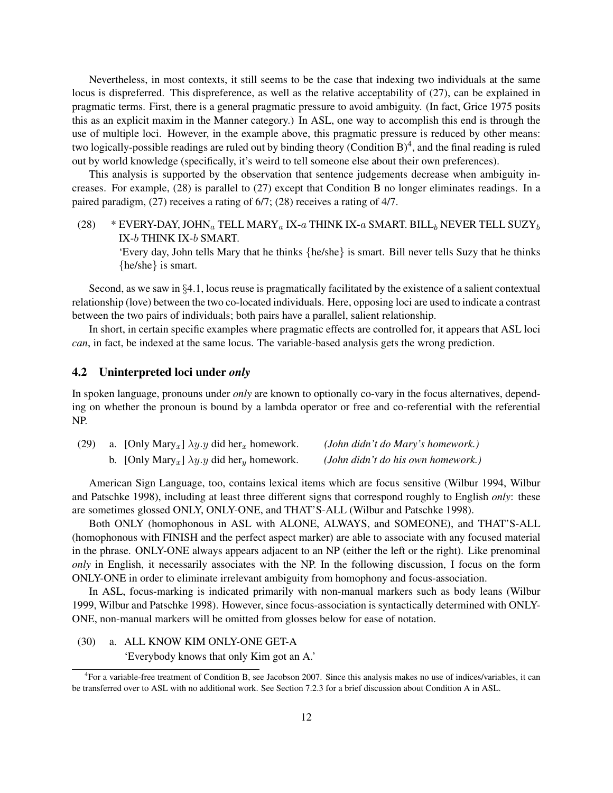Nevertheless, in most contexts, it still seems to be the case that indexing two individuals at the same locus is dispreferred. This dispreference, as well as the relative acceptability of (27), can be explained in pragmatic terms. First, there is a general pragmatic pressure to avoid ambiguity. (In fact, Grice 1975 posits this as an explicit maxim in the Manner category.) In ASL, one way to accomplish this end is through the use of multiple loci. However, in the example above, this pragmatic pressure is reduced by other means: two logically-possible readings are ruled out by binding theory (Condition B)<sup>4</sup>, and the final reading is ruled out by world knowledge (specifically, it's weird to tell someone else about their own preferences).

This analysis is supported by the observation that sentence judgements decrease when ambiguity increases. For example, (28) is parallel to (27) except that Condition B no longer eliminates readings. In a paired paradigm, (27) receives a rating of 6/7; (28) receives a rating of 4/7.

(28) \* EVERY-DAY, JOHN<sub>a</sub> TELL MARY<sub>a</sub> IX-a THINK IX-a SMART. BILL<sub>b</sub> NEVER TELL SUZY<sub>b</sub> IX-b THINK IX-b SMART.

'Every day, John tells Mary that he thinks {he/she} is smart. Bill never tells Suzy that he thinks {he/she} is smart.

Second, as we saw in §4.1, locus reuse is pragmatically facilitated by the existence of a salient contextual relationship (love) between the two co-located individuals. Here, opposing loci are used to indicate a contrast between the two pairs of individuals; both pairs have a parallel, salient relationship.

In short, in certain specific examples where pragmatic effects are controlled for, it appears that ASL loci *can*, in fact, be indexed at the same locus. The variable-based analysis gets the wrong prediction.

### 4.2 Uninterpreted loci under *only*

In spoken language, pronouns under *only* are known to optionally co-vary in the focus alternatives, depending on whether the pronoun is bound by a lambda operator or free and co-referential with the referential NP.

| (29) | a. [Only Mary <sub>x</sub> ] $\lambda y. y$ did her <sub>x</sub> homework. | (John didn't do Mary's homework.)  |
|------|----------------------------------------------------------------------------|------------------------------------|
|      | b. [Only Mary <sub>x</sub> ] $\lambda y. y$ did her <sub>y</sub> homework. | (John didn't do his own homework.) |

American Sign Language, too, contains lexical items which are focus sensitive (Wilbur 1994, Wilbur and Patschke 1998), including at least three different signs that correspond roughly to English *only*: these are sometimes glossed ONLY, ONLY-ONE, and THAT'S-ALL (Wilbur and Patschke 1998).

Both ONLY (homophonous in ASL with ALONE, ALWAYS, and SOMEONE), and THAT'S-ALL (homophonous with FINISH and the perfect aspect marker) are able to associate with any focused material in the phrase. ONLY-ONE always appears adjacent to an NP (either the left or the right). Like prenominal *only* in English, it necessarily associates with the NP. In the following discussion, I focus on the form ONLY-ONE in order to eliminate irrelevant ambiguity from homophony and focus-association.

In ASL, focus-marking is indicated primarily with non-manual markers such as body leans (Wilbur 1999, Wilbur and Patschke 1998). However, since focus-association is syntactically determined with ONLY-ONE, non-manual markers will be omitted from glosses below for ease of notation.

(30) a. ALL KNOW KIM ONLY-ONE GET-A 'Everybody knows that only Kim got an A.'

<sup>4</sup> For a variable-free treatment of Condition B, see Jacobson 2007. Since this analysis makes no use of indices/variables, it can be transferred over to ASL with no additional work. See Section 7.2.3 for a brief discussion about Condition A in ASL.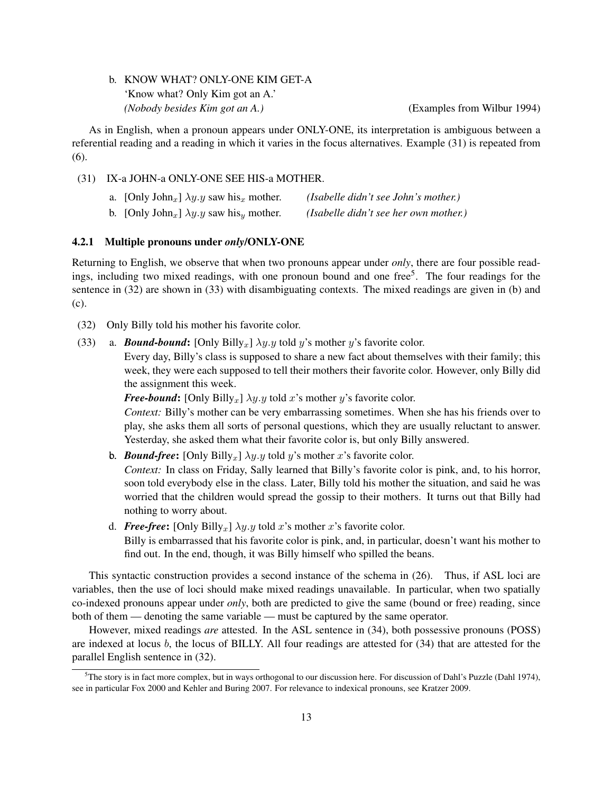### b. KNOW WHAT? ONLY-ONE KIM GET-A 'Know what? Only Kim got an A.' *(Nobody besides Kim got an A.)* (Examples from Wilbur 1994)

As in English, when a pronoun appears under ONLY-ONE, its interpretation is ambiguous between a referential reading and a reading in which it varies in the focus alternatives. Example (31) is repeated from (6).

(31) IX-a JOHN-a ONLY-ONE SEE HIS-a MOTHER.

| a. [Only John <sub>x</sub> ] $\lambda y. y$ saw his <sub>x</sub> mother. | (Isabelle didn't see John's mother.)  |
|--------------------------------------------------------------------------|---------------------------------------|
| b. [Only John <sub>x</sub> ] $\lambda y. y$ saw his <sub>y</sub> mother. | (Isabelle didn't see her own mother.) |

### 4.2.1 Multiple pronouns under *only*/ONLY-ONE

Returning to English, we observe that when two pronouns appear under *only*, there are four possible readings, including two mixed readings, with one pronoun bound and one free<sup>5</sup>. The four readings for the sentence in (32) are shown in (33) with disambiguating contexts. The mixed readings are given in (b) and (c).

- (32) Only Billy told his mother his favorite color.
- (33) a. **Bound-bound:**  $[Only Billy_x] \lambda y.y$  told y's mother y's favorite color.

Every day, Billy's class is supposed to share a new fact about themselves with their family; this week, they were each supposed to tell their mothers their favorite color. However, only Billy did the assignment this week.

*Free-bound*: [Only Billy<sub>x</sub>]  $\lambda y.y$  told x's mother y's favorite color.

*Context:* Billy's mother can be very embarrassing sometimes. When she has his friends over to play, she asks them all sorts of personal questions, which they are usually reluctant to answer. Yesterday, she asked them what their favorite color is, but only Billy answered.

**b.** *Bound-free*:  $[Only Billy_x] \lambda y.y$  told y's mother x's favorite color.

*Context:* In class on Friday, Sally learned that Billy's favorite color is pink, and, to his horror, soon told everybody else in the class. Later, Billy told his mother the situation, and said he was worried that the children would spread the gossip to their mothers. It turns out that Billy had nothing to worry about.

d. **Free-free:** [Only Billy<sub>x</sub>]  $\lambda y. y$  told x's mother x's favorite color.

Billy is embarrassed that his favorite color is pink, and, in particular, doesn't want his mother to find out. In the end, though, it was Billy himself who spilled the beans.

This syntactic construction provides a second instance of the schema in (26). Thus, if ASL loci are variables, then the use of loci should make mixed readings unavailable. In particular, when two spatially co-indexed pronouns appear under *only*, both are predicted to give the same (bound or free) reading, since both of them — denoting the same variable — must be captured by the same operator.

However, mixed readings *are* attested. In the ASL sentence in (34), both possessive pronouns (POSS) are indexed at locus b, the locus of BILLY. All four readings are attested for (34) that are attested for the parallel English sentence in (32).

<sup>&</sup>lt;sup>5</sup>The story is in fact more complex, but in ways orthogonal to our discussion here. For discussion of Dahl's Puzzle (Dahl 1974), see in particular Fox 2000 and Kehler and Buring 2007. For relevance to indexical pronouns, see Kratzer 2009.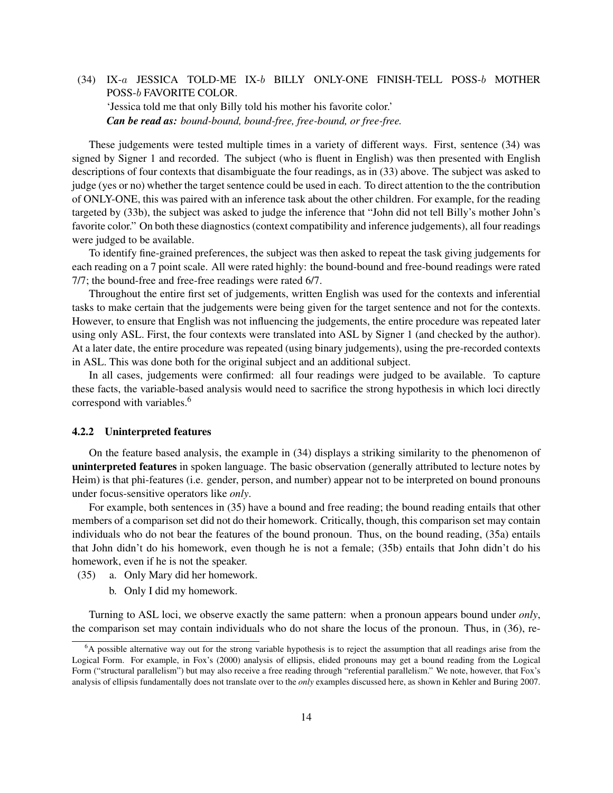# (34) IX-a JESSICA TOLD-ME IX-b BILLY ONLY-ONE FINISH-TELL POSS-b MOTHER POSS-b FAVORITE COLOR. 'Jessica told me that only Billy told his mother his favorite color.' *Can be read as: bound-bound, bound-free, free-bound, or free-free.*

These judgements were tested multiple times in a variety of different ways. First, sentence (34) was signed by Signer 1 and recorded. The subject (who is fluent in English) was then presented with English descriptions of four contexts that disambiguate the four readings, as in (33) above. The subject was asked to judge (yes or no) whether the target sentence could be used in each. To direct attention to the the contribution of ONLY-ONE, this was paired with an inference task about the other children. For example, for the reading targeted by (33b), the subject was asked to judge the inference that "John did not tell Billy's mother John's favorite color." On both these diagnostics (context compatibility and inference judgements), all four readings were judged to be available.

To identify fine-grained preferences, the subject was then asked to repeat the task giving judgements for each reading on a 7 point scale. All were rated highly: the bound-bound and free-bound readings were rated 7/7; the bound-free and free-free readings were rated 6/7.

Throughout the entire first set of judgements, written English was used for the contexts and inferential tasks to make certain that the judgements were being given for the target sentence and not for the contexts. However, to ensure that English was not influencing the judgements, the entire procedure was repeated later using only ASL. First, the four contexts were translated into ASL by Signer 1 (and checked by the author). At a later date, the entire procedure was repeated (using binary judgements), using the pre-recorded contexts in ASL. This was done both for the original subject and an additional subject.

In all cases, judgements were confirmed: all four readings were judged to be available. To capture these facts, the variable-based analysis would need to sacrifice the strong hypothesis in which loci directly correspond with variables.<sup>6</sup>

### 4.2.2 Uninterpreted features

On the feature based analysis, the example in (34) displays a striking similarity to the phenomenon of uninterpreted features in spoken language. The basic observation (generally attributed to lecture notes by Heim) is that phi-features (i.e. gender, person, and number) appear not to be interpreted on bound pronouns under focus-sensitive operators like *only*.

For example, both sentences in (35) have a bound and free reading; the bound reading entails that other members of a comparison set did not do their homework. Critically, though, this comparison set may contain individuals who do not bear the features of the bound pronoun. Thus, on the bound reading, (35a) entails that John didn't do his homework, even though he is not a female; (35b) entails that John didn't do his homework, even if he is not the speaker.

- (35) a. Only Mary did her homework.
	- b. Only I did my homework.

Turning to ASL loci, we observe exactly the same pattern: when a pronoun appears bound under *only*, the comparison set may contain individuals who do not share the locus of the pronoun. Thus, in (36), re-

<sup>&</sup>lt;sup>6</sup>A possible alternative way out for the strong variable hypothesis is to reject the assumption that all readings arise from the Logical Form. For example, in Fox's (2000) analysis of ellipsis, elided pronouns may get a bound reading from the Logical Form ("structural parallelism") but may also receive a free reading through "referential parallelism." We note, however, that Fox's analysis of ellipsis fundamentally does not translate over to the *only* examples discussed here, as shown in Kehler and Buring 2007.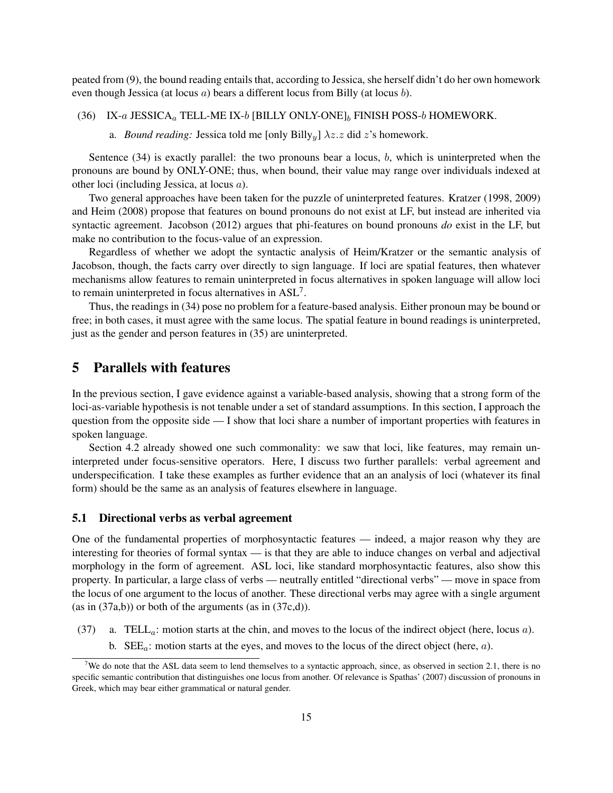peated from (9), the bound reading entails that, according to Jessica, she herself didn't do her own homework even though Jessica (at locus a) bears a different locus from Billy (at locus b).

(36) IX-a JESSICA<sub>a</sub> TELL-ME IX-b [BILLY ONLY-ONE]<sub>b</sub> FINISH POSS-b HOMEWORK.

a. *Bound reading:* Jessica told me [only Billy<sub>u</sub>]  $\lambda z.z$  did z's homework.

Sentence  $(34)$  is exactly parallel: the two pronouns bear a locus, b, which is uninterpreted when the pronouns are bound by ONLY-ONE; thus, when bound, their value may range over individuals indexed at other loci (including Jessica, at locus a).

Two general approaches have been taken for the puzzle of uninterpreted features. Kratzer (1998, 2009) and Heim (2008) propose that features on bound pronouns do not exist at LF, but instead are inherited via syntactic agreement. Jacobson (2012) argues that phi-features on bound pronouns *do* exist in the LF, but make no contribution to the focus-value of an expression.

Regardless of whether we adopt the syntactic analysis of Heim/Kratzer or the semantic analysis of Jacobson, though, the facts carry over directly to sign language. If loci are spatial features, then whatever mechanisms allow features to remain uninterpreted in focus alternatives in spoken language will allow loci to remain uninterpreted in focus alternatives in  $ASL^7$ .

Thus, the readings in (34) pose no problem for a feature-based analysis. Either pronoun may be bound or free; in both cases, it must agree with the same locus. The spatial feature in bound readings is uninterpreted, just as the gender and person features in (35) are uninterpreted.

### 5 Parallels with features

In the previous section, I gave evidence against a variable-based analysis, showing that a strong form of the loci-as-variable hypothesis is not tenable under a set of standard assumptions. In this section, I approach the question from the opposite side — I show that loci share a number of important properties with features in spoken language.

Section 4.2 already showed one such commonality: we saw that loci, like features, may remain uninterpreted under focus-sensitive operators. Here, I discuss two further parallels: verbal agreement and underspecification. I take these examples as further evidence that an an analysis of loci (whatever its final form) should be the same as an analysis of features elsewhere in language.

### 5.1 Directional verbs as verbal agreement

One of the fundamental properties of morphosyntactic features — indeed, a major reason why they are interesting for theories of formal syntax — is that they are able to induce changes on verbal and adjectival morphology in the form of agreement. ASL loci, like standard morphosyntactic features, also show this property. In particular, a large class of verbs — neutrally entitled "directional verbs" — move in space from the locus of one argument to the locus of another. These directional verbs may agree with a single argument  $(as in (37a,b))$  or both of the arguments  $(as in (37c,d)).$ 

- (37) a. TELL<sub>a</sub>: motion starts at the chin, and moves to the locus of the indirect object (here, locus a).
	- b.  $\text{SEE}_{a}$ : motion starts at the eyes, and moves to the locus of the direct object (here, a).

<sup>&</sup>lt;sup>7</sup>We do note that the ASL data seem to lend themselves to a syntactic approach, since, as observed in section 2.1, there is no specific semantic contribution that distinguishes one locus from another. Of relevance is Spathas' (2007) discussion of pronouns in Greek, which may bear either grammatical or natural gender.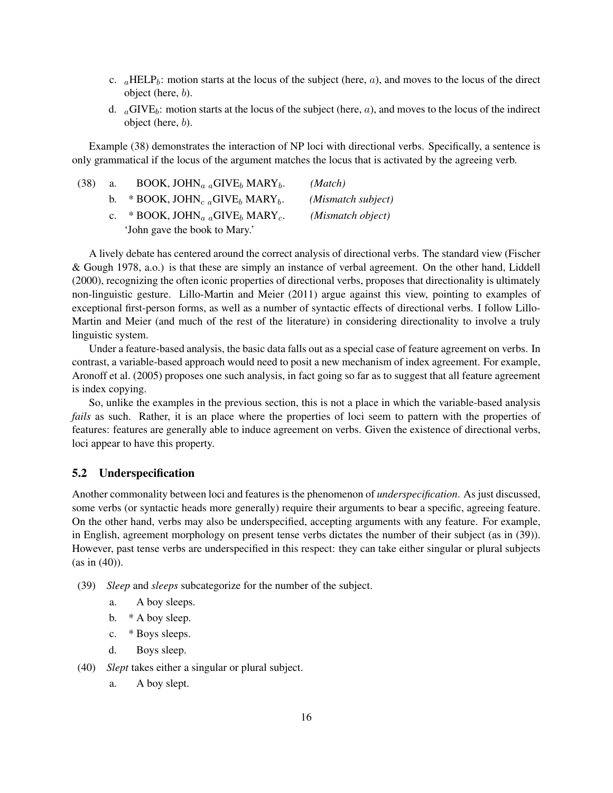- c.  $_{a}$ HELP<sub>b</sub>: motion starts at the locus of the subject (here, *a*), and moves to the locus of the direct object (here, b).
- d.  $_a$ GIVE<sub>b</sub>: motion starts at the locus of the subject (here, a), and moves to the locus of the indirect object (here, b).

Example (38) demonstrates the interaction of NP loci with directional verbs. Specifically, a sentence is only grammatical if the locus of the argument matches the locus that is activated by the agreeing verb.

| (38) | a. | BOOK, JOHN <sub>a a</sub> GIVE <sub>b</sub> MARY <sub>b</sub> .   | (Match)            |
|------|----|-------------------------------------------------------------------|--------------------|
|      |    | * BOOK, JOHN <sub>c a</sub> GIVE <sub>b</sub> MARY <sub>b</sub> . | (Mismatch subject) |
|      |    | * BOOK, JOHN <sub>a a</sub> GIVE <sub>b</sub> MARY <sub>c</sub> . | (Mismatch object)  |
|      |    | 'John gave the book to Mary.'                                     |                    |

A lively debate has centered around the correct analysis of directional verbs. The standard view (Fischer & Gough 1978, a.o.) is that these are simply an instance of verbal agreement. On the other hand, Liddell (2000), recognizing the often iconic properties of directional verbs, proposes that directionality is ultimately non-linguistic gesture. Lillo-Martin and Meier (2011) argue against this view, pointing to examples of exceptional first-person forms, as well as a number of syntactic effects of directional verbs. I follow Lillo-Martin and Meier (and much of the rest of the literature) in considering directionality to involve a truly linguistic system.

Under a feature-based analysis, the basic data falls out as a special case of feature agreement on verbs. In contrast, a variable-based approach would need to posit a new mechanism of index agreement. For example, Aronoff et al. (2005) proposes one such analysis, in fact going so far as to suggest that all feature agreement is index copying.

So, unlike the examples in the previous section, this is not a place in which the variable-based analysis *fails* as such. Rather, it is an place where the properties of loci seem to pattern with the properties of features: features are generally able to induce agreement on verbs. Given the existence of directional verbs, loci appear to have this property.

### 5.2 Underspecification

Another commonality between loci and features is the phenomenon of *underspecification*. As just discussed, some verbs (or syntactic heads more generally) require their arguments to bear a specific, agreeing feature. On the other hand, verbs may also be underspecified, accepting arguments with any feature. For example, in English, agreement morphology on present tense verbs dictates the number of their subject (as in (39)). However, past tense verbs are underspecified in this respect: they can take either singular or plural subjects (as in (40)).

- (39) *Sleep* and *sleeps* subcategorize for the number of the subject.
	- a. A boy sleeps.
	- b. \* A boy sleep.
	- c. \* Boys sleeps.
	- d. Boys sleep.
- (40) *Slept* takes either a singular or plural subject.
	- a. A boy slept.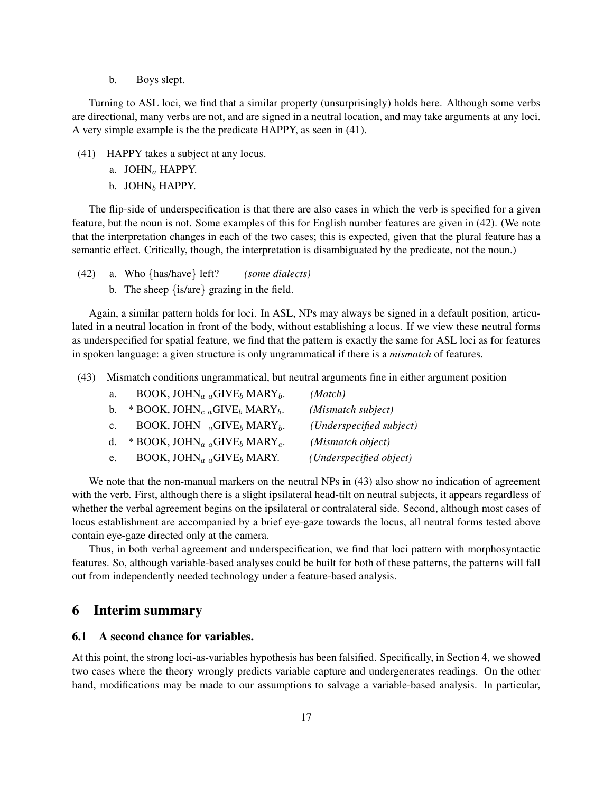b. Boys slept.

Turning to ASL loci, we find that a similar property (unsurprisingly) holds here. Although some verbs are directional, many verbs are not, and are signed in a neutral location, and may take arguments at any loci. A very simple example is the the predicate HAPPY, as seen in (41).

- (41) HAPPY takes a subject at any locus.
	- a. JOHN<sub>a</sub> HAPPY.
	- b. JOHN $_b$  HAPPY.

The flip-side of underspecification is that there are also cases in which the verb is specified for a given feature, but the noun is not. Some examples of this for English number features are given in (42). (We note that the interpretation changes in each of the two cases; this is expected, given that the plural feature has a semantic effect. Critically, though, the interpretation is disambiguated by the predicate, not the noun.)

- (42) a. Who {has/have} left? *(some dialects)*
	- b. The sheep {is/are} grazing in the field.

Again, a similar pattern holds for loci. In ASL, NPs may always be signed in a default position, articulated in a neutral location in front of the body, without establishing a locus. If we view these neutral forms as underspecified for spatial feature, we find that the pattern is exactly the same for ASL loci as for features in spoken language: a given structure is only ungrammatical if there is a *mismatch* of features.

(43) Mismatch conditions ungrammatical, but neutral arguments fine in either argument position

| a.             | BOOK, JOHN <sub>a a</sub> GIVE <sub>b</sub> MARY <sub>b</sub> .   | (Match)                  |
|----------------|-------------------------------------------------------------------|--------------------------|
| $\mathbf{b}$ . | * BOOK, JOHN <sub>c a</sub> GIVE <sub>b</sub> MARY <sub>b</sub> . | (Mismatch subject)       |
| $\mathbf{c}$ . | BOOK, JOHN $_{a}$ GIVE <sub>b</sub> MARY <sub>b</sub> .           | (Underspecified subject) |
| $d_{-}$        | * BOOK, JOHN <sub>a a</sub> GIVE <sub>b</sub> MARY <sub>c</sub> . | (Mismatch object)        |
| e.             | BOOK, JOHN <sub>a a</sub> GIVE <sub>b</sub> MARY.                 | (Underspecified object)  |

We note that the non-manual markers on the neutral NPs in  $(43)$  also show no indication of agreement with the verb. First, although there is a slight ipsilateral head-tilt on neutral subjects, it appears regardless of whether the verbal agreement begins on the ipsilateral or contralateral side. Second, although most cases of locus establishment are accompanied by a brief eye-gaze towards the locus, all neutral forms tested above contain eye-gaze directed only at the camera.

Thus, in both verbal agreement and underspecification, we find that loci pattern with morphosyntactic features. So, although variable-based analyses could be built for both of these patterns, the patterns will fall out from independently needed technology under a feature-based analysis.

### 6 Interim summary

#### 6.1 A second chance for variables.

At this point, the strong loci-as-variables hypothesis has been falsified. Specifically, in Section 4, we showed two cases where the theory wrongly predicts variable capture and undergenerates readings. On the other hand, modifications may be made to our assumptions to salvage a variable-based analysis. In particular,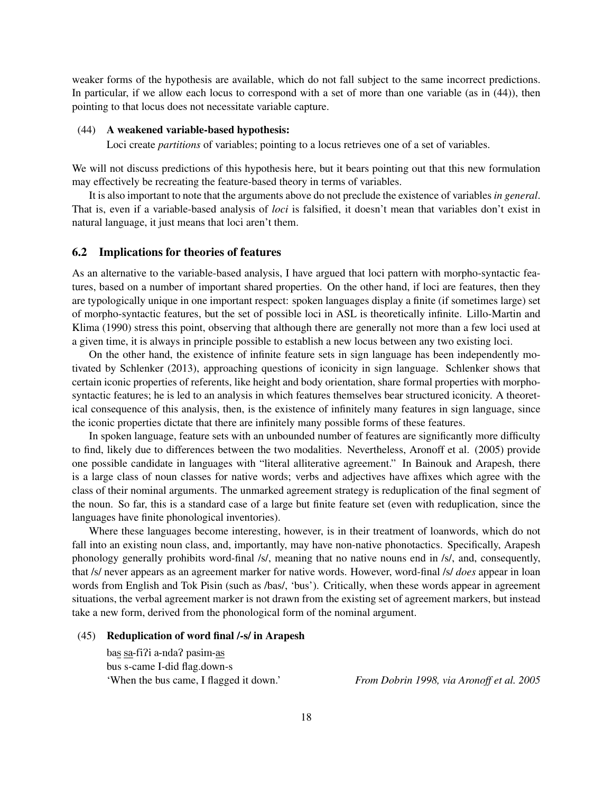weaker forms of the hypothesis are available, which do not fall subject to the same incorrect predictions. In particular, if we allow each locus to correspond with a set of more than one variable (as in (44)), then pointing to that locus does not necessitate variable capture.

#### (44) A weakened variable-based hypothesis:

Loci create *partitions* of variables; pointing to a locus retrieves one of a set of variables.

We will not discuss predictions of this hypothesis here, but it bears pointing out that this new formulation may effectively be recreating the feature-based theory in terms of variables.

It is also important to note that the arguments above do not preclude the existence of variables *in general*. That is, even if a variable-based analysis of *loci* is falsified, it doesn't mean that variables don't exist in natural language, it just means that loci aren't them.

#### 6.2 Implications for theories of features

As an alternative to the variable-based analysis, I have argued that loci pattern with morpho-syntactic features, based on a number of important shared properties. On the other hand, if loci are features, then they are typologically unique in one important respect: spoken languages display a finite (if sometimes large) set of morpho-syntactic features, but the set of possible loci in ASL is theoretically infinite. Lillo-Martin and Klima (1990) stress this point, observing that although there are generally not more than a few loci used at a given time, it is always in principle possible to establish a new locus between any two existing loci.

On the other hand, the existence of infinite feature sets in sign language has been independently motivated by Schlenker (2013), approaching questions of iconicity in sign language. Schlenker shows that certain iconic properties of referents, like height and body orientation, share formal properties with morphosyntactic features; he is led to an analysis in which features themselves bear structured iconicity. A theoretical consequence of this analysis, then, is the existence of infinitely many features in sign language, since the iconic properties dictate that there are infinitely many possible forms of these features.

In spoken language, feature sets with an unbounded number of features are significantly more difficulty to find, likely due to differences between the two modalities. Nevertheless, Aronoff et al. (2005) provide one possible candidate in languages with "literal alliterative agreement." In Bainouk and Arapesh, there is a large class of noun classes for native words; verbs and adjectives have affixes which agree with the class of their nominal arguments. The unmarked agreement strategy is reduplication of the final segment of the noun. So far, this is a standard case of a large but finite feature set (even with reduplication, since the languages have finite phonological inventories).

Where these languages become interesting, however, is in their treatment of loanwords, which do not fall into an existing noun class, and, importantly, may have non-native phonotactics. Specifically, Arapesh phonology generally prohibits word-final /s/, meaning that no native nouns end in /s/, and, consequently, that /s/ never appears as an agreement marker for native words. However, word-final /s/ *does* appear in loan words from English and Tok Pisin (such as /bas/, 'bus'). Critically, when these words appear in agreement situations, the verbal agreement marker is not drawn from the existing set of agreement markers, but instead take a new form, derived from the phonological form of the nominal argument.

#### (45) Reduplication of word final /-s/ in Arapesh

bas sa-fiPi a-ndaP pasim-as bus s-came I-did flag.down-s 'When the bus came, I flagged it down.' *From Dobrin 1998, via Aronoff et al. 2005*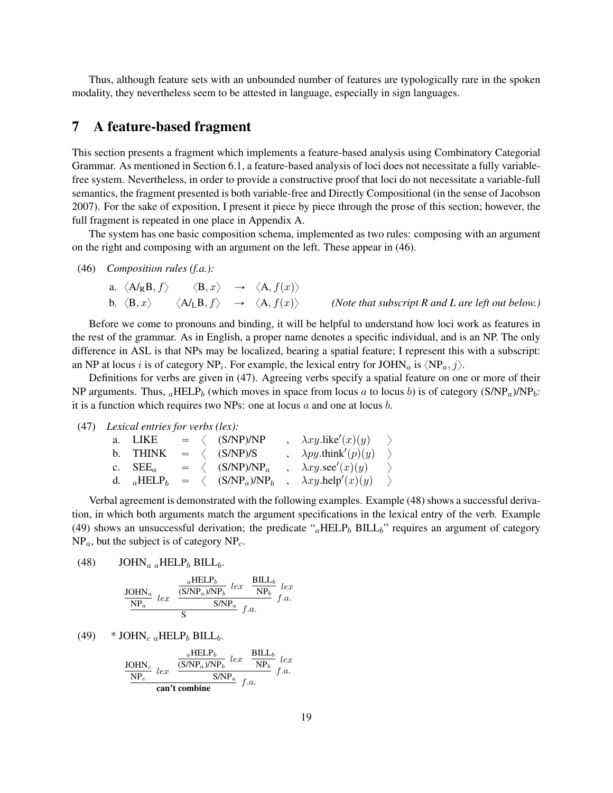Thus, although feature sets with an unbounded number of features are typologically rare in the spoken modality, they nevertheless seem to be attested in language, especially in sign languages.

### 7 A feature-based fragment

This section presents a fragment which implements a feature-based analysis using Combinatory Categorial Grammar. As mentioned in Section 6.1, a feature-based analysis of loci does not necessitate a fully variablefree system. Nevertheless, in order to provide a constructive proof that loci do not necessitate a variable-full semantics, the fragment presented is both variable-free and Directly Compositional (in the sense of Jacobson 2007). For the sake of exposition, I present it piece by piece through the prose of this section; however, the full fragment is repeated in one place in Appendix A.

The system has one basic composition schema, implemented as two rules: composing with an argument on the right and composing with an argument on the left. These appear in (46).

(46) *Composition rules (f.a.):*

\n- a. 
$$
\langle A/R, B, f \rangle
$$
  $\langle B, x \rangle$   $\rightarrow$   $\langle A, f(x) \rangle$
\n- b.  $\langle B, x \rangle$   $\langle A/L, B, f \rangle$   $\rightarrow$   $\langle A, f(x) \rangle$  *(Note that subscript R and L are left out below.)*
\n

Before we come to pronouns and binding, it will be helpful to understand how loci work as features in the rest of the grammar. As in English, a proper name denotes a specific individual, and is an NP. The only difference in ASL is that NPs may be localized, bearing a spatial feature; I represent this with a subscript: an NP at locus i is of category NP<sub>i</sub>. For example, the lexical entry for JOHN<sub>a</sub> is  $\langle NP_a, j \rangle$ .

Definitions for verbs are given in (47). Agreeing verbs specify a spatial feature on one or more of their NP arguments. Thus,  $_a$ HELP<sub>b</sub> (which moves in space from locus a to locus b) is of category (S/NP<sub>a</sub>)/NP<sub>b</sub>: it is a function which requires two NPs: one at locus  $a$  and one at locus  $b$ .

(47) *Lexical entries for verbs (lex):*

| a. LIKE    |  | $= \langle$ (S/NP)/NP                                                      | $\lambda xy$ .like'(x)(y) $\rightarrow$  |               |
|------------|--|----------------------------------------------------------------------------|------------------------------------------|---------------|
| b. THINK   |  | $= \langle$ (S/NP)/S                                                       | $\lambda py.$ think'(p)(y)               | $\rightarrow$ |
| c. $SEE_a$ |  | $= \langle$ (S/NP)/NP <sub>a</sub>                                         | $\lambda xy \text{.} \sec'(x)(y)$        |               |
|            |  | d. $_a$ HELP <sub>b</sub> = $\langle$ (S/NP <sub>a</sub> )/NP <sub>b</sub> | $\lambda xy \text{.} \text{help}'(x)(y)$ |               |

Verbal agreement is demonstrated with the following examples. Example (48) shows a successful derivation, in which both arguments match the argument specifications in the lexical entry of the verb. Example (49) shows an unsuccessful derivation; the predicate " $_a$ HELP<sub>b</sub> BILL<sub>b</sub>" requires an argument of category  $NP_a$ , but the subject is of category  $NP_c$ .

(48) JOHN<sub>a a</sub>HELP<sub>b</sub> BILL<sub>b</sub>.

$$
\frac{\text{JOHN}_a}{\text{NP}_a} \text{ } lex \text{ } \frac{\frac{a \text{HELP}_b}{(\text{S/NP}_a)/\text{NP}_b} \text{ } lex}{\text{S/NP}_a} \text{ } \frac{\text{BILL}_b}{f.a.} \text{ } lex
$$

(49) \* JOHN<sub>c a</sub> HELP<sub>b</sub> BILL<sub>b</sub>.  
\n
$$
\frac{10HN_c}{NP_c} \underbrace{Iex}_{lex} \underbrace{\frac{aHELP_b}{(SNP_a)/NP_b}}_{\text{Can't combine}} \underbrace{lex}_{f.a.} \underbrace{\frac{BILL_b}{NP_b}}_{f.a.}
$$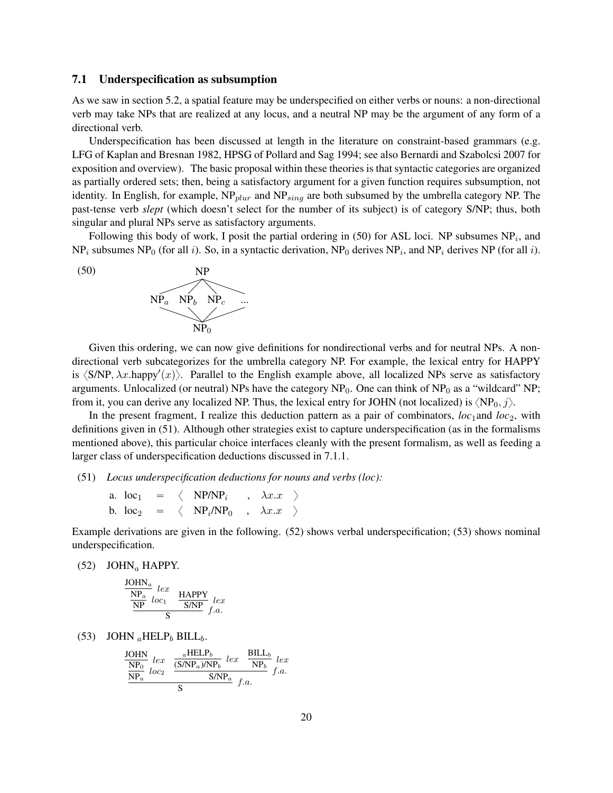#### 7.1 Underspecification as subsumption

As we saw in section 5.2, a spatial feature may be underspecified on either verbs or nouns: a non-directional verb may take NPs that are realized at any locus, and a neutral NP may be the argument of any form of a directional verb.

Underspecification has been discussed at length in the literature on constraint-based grammars (e.g. LFG of Kaplan and Bresnan 1982, HPSG of Pollard and Sag 1994; see also Bernardi and Szabolcsi 2007 for exposition and overview). The basic proposal within these theories is that syntactic categories are organized as partially ordered sets; then, being a satisfactory argument for a given function requires subsumption, not identity. In English, for example,  $NP_{blur}$  and  $NP_{sing}$  are both subsumed by the umbrella category NP. The past-tense verb *slept* (which doesn't select for the number of its subject) is of category S/NP; thus, both singular and plural NPs serve as satisfactory arguments.

Following this body of work, I posit the partial ordering in (50) for ASL loci. NP subsumes  $NP_i$ , and  $NP_i$  subsumes NP<sub>0</sub> (for all *i*). So, in a syntactic derivation, NP<sub>0</sub> derives NP<sub>i</sub>, and NP<sub>i</sub> derives NP (for all *i*).



Given this ordering, we can now give definitions for nondirectional verbs and for neutral NPs. A nondirectional verb subcategorizes for the umbrella category NP. For example, the lexical entry for HAPPY is  $\langle$ S/NP,  $\lambda x$ .happy' $\langle x \rangle$ . Parallel to the English example above, all localized NPs serve as satisfactory arguments. Unlocalized (or neutral) NPs have the category  $NP_0$ . One can think of  $NP_0$  as a "wildcard" NP; from it, you can derive any localized NP. Thus, the lexical entry for JOHN (not localized) is  $\langle NP_0, j \rangle$ .

In the present fragment, I realize this deduction pattern as a pair of combinators,  $loc_1$  and  $loc_2$ , with definitions given in (51). Although other strategies exist to capture underspecification (as in the formalisms mentioned above), this particular choice interfaces cleanly with the present formalism, as well as feeding a larger class of underspecification deductions discussed in 7.1.1.

(51) *Locus underspecification deductions for nouns and verbs (loc):*

a. loc<sub>1</sub> =  $\langle$  NP/NP<sub>i</sub>,  $\lambda x.x$   $\rangle$ b. loc<sub>2</sub> =  $\langle NP_i/NP_0 \rangle, \lambda x.x \rangle$ 

Example derivations are given in the following. (52) shows verbal underspecification; (53) shows nominal underspecification.

(52) JOHN<sub>a</sub> HAPPY.

$$
\frac{\frac{\text{JOHN}_a}{\text{NP}_a} \text{ } lex}{\frac{\text{NP}}{\text{NP}} \text{ } loc_1} \quad \frac{\text{HAPPY}}{\text{S/NP}} \text{ } lex}{f.a.}
$$

(53) JOHN  $_a$ HELP $_b$  BILL $_b$ .

$$
\frac{\frac{\text{JOHN}}{\text{NP}_0}}{\frac{\text{NP}_0}{\text{NP}_a}} \frac{lex}{loc_2} \frac{\frac{a\text{HELP}_b}{(\text{S/NP}_a)/\text{NP}_b} \text{lex}}{\text{S/NP}_a} \frac{\text{BILL}_b}{f.a.} \text{Ex}
$$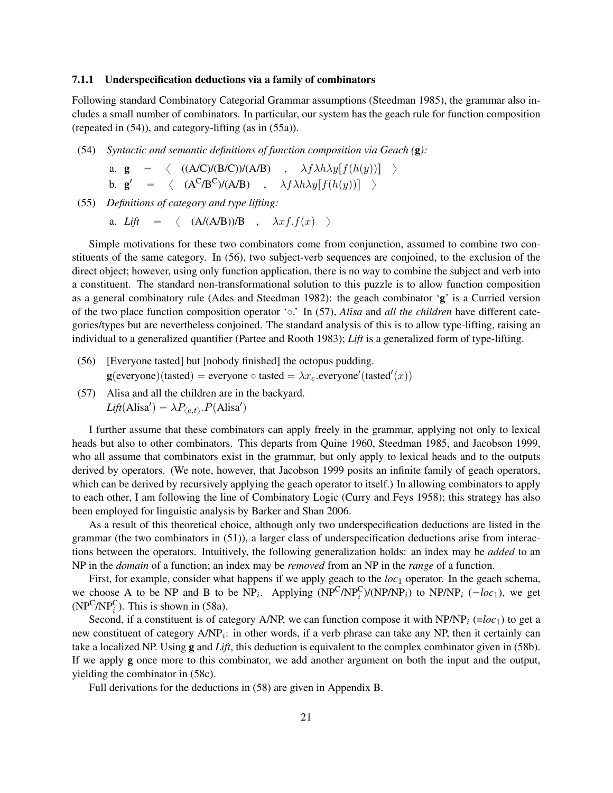### 7.1.1 Underspecification deductions via a family of combinators

Following standard Combinatory Categorial Grammar assumptions (Steedman 1985), the grammar also includes a small number of combinators. In particular, our system has the geach rule for function composition (repeated in (54)), and category-lifting (as in (55a)).

(54) *Syntactic and semantic definitions of function composition via Geach (*g*):*

a. 
$$
\mathbf{g} = \langle ((A/C)/(B/C))/(A/B) , \lambda f \lambda h \lambda y [f(h(y))] \rangle
$$
  
b.  $\mathbf{g}' = \langle (A^C/B^C)/(A/B) , \lambda f \lambda h \lambda y [f(h(y))] \rangle$ 

(55) *Definitions of category and type lifting:*

a. *Lift*  $= \langle (A/(A/B))/B , \lambda x f.f(x) \rangle$ 

Simple motivations for these two combinators come from conjunction, assumed to combine two constituents of the same category. In (56), two subject-verb sequences are conjoined, to the exclusion of the direct object; however, using only function application, there is no way to combine the subject and verb into a constituent. The standard non-transformational solution to this puzzle is to allow function composition as a general combinatory rule (Ades and Steedman 1982): the geach combinator 'g' is a Curried version of the two place function composition operator ' $\circ$ .' In (57), *Alisa* and *all the children* have different categories/types but are nevertheless conjoined. The standard analysis of this is to allow type-lifting, raising an individual to a generalized quantifier (Partee and Rooth 1983); *Lift* is a generalized form of type-lifting.

- (56) [Everyone tasted] but [nobody finished] the octopus pudding.  $\mathbf{g}(\text{everyone})(\text{tasted}) = \text{everyone} \circ \text{tasted} = \lambda x_e.\text{everyone}'(\text{tasted}'(x))$
- (57) Alisa and all the children are in the backyard.  $Lift(Alisa') = \lambda P_{\langle e,t \rangle} P(Alisa')$

I further assume that these combinators can apply freely in the grammar, applying not only to lexical heads but also to other combinators. This departs from Quine 1960, Steedman 1985, and Jacobson 1999, who all assume that combinators exist in the grammar, but only apply to lexical heads and to the outputs derived by operators. (We note, however, that Jacobson 1999 posits an infinite family of geach operators, which can be derived by recursively applying the geach operator to itself.) In allowing combinators to apply to each other, I am following the line of Combinatory Logic (Curry and Feys 1958); this strategy has also been employed for linguistic analysis by Barker and Shan 2006.

As a result of this theoretical choice, although only two underspecification deductions are listed in the grammar (the two combinators in (51)), a larger class of underspecification deductions arise from interactions between the operators. Intuitively, the following generalization holds: an index may be *added* to an NP in the *domain* of a function; an index may be *removed* from an NP in the *range* of a function.

First, for example, consider what happens if we apply geach to the *loc*<sub>1</sub> operator. In the geach schema, we choose A to be NP and B to be NP<sub>i</sub>. Applying  $(NP^C/NP_i^C)/(N P/NP_i)$  to NP/NP<sub>i</sub> ( $= loc_1$ ), we get  $(NP<sup>C</sup>/NP<sub>i</sub><sup>C</sup>)$ . This is shown in (58a).

Second, if a constituent is of category A/NP, we can function compose it with  $NP/NP_i (=loc_1)$  to get a new constituent of category  $A/NP_i$ : in other words, if a verb phrase can take any NP, then it certainly can take a localized NP. Using g and *Lift*, this deduction is equivalent to the complex combinator given in (58b). If we apply g once more to this combinator, we add another argument on both the input and the output, yielding the combinator in (58c).

Full derivations for the deductions in (58) are given in Appendix B.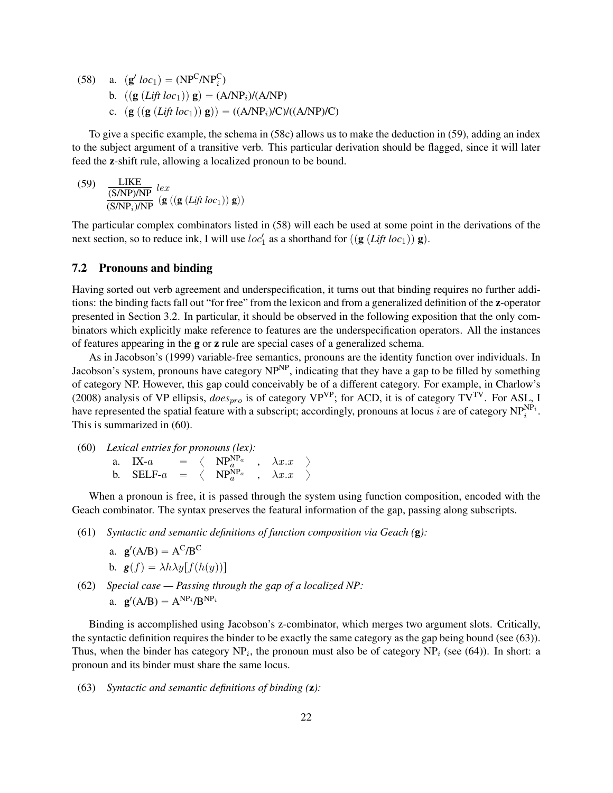(58) a.  $(g' loc_1) = (NP<sup>C</sup>/NP<sub>i</sub><sup>C</sup>)$ b.  $((\mathbf{g} (Lift loc_1)) \mathbf{g}) = (A/NP_i)/(A/NP)$ c.  $\left(\mathbf{g} \left( \left( \frac{\mathbf{g} \left(Lift \, loc_1 \right) \right) \mathbf{g} \right) \right) = \left( \frac{\mathbf{A}}{N} P_i \right) / C \right) / \left( \frac{\mathbf{A}}{N} P_i \right) / C \right)$ 

To give a specific example, the schema in (58c) allows us to make the deduction in (59), adding an index to the subject argument of a transitive verb. This particular derivation should be flagged, since it will later feed the z-shift rule, allowing a localized pronoun to be bound.

(59) 
$$
\frac{\text{LIKE}}{\text{(S/NP)/NP}} \text{lex} \left( \mathbf{g} \left( \text{Lift loc}_1 \right) \right) \mathbf{g} \right)
$$

The particular complex combinators listed in (58) will each be used at some point in the derivations of the next section, so to reduce ink, I will use  $loc'_1$  as a shorthand for  $((g(Lift loc_1))g)$ .

### 7.2 Pronouns and binding

Having sorted out verb agreement and underspecification, it turns out that binding requires no further additions: the binding facts fall out "for free" from the lexicon and from a generalized definition of the z-operator presented in Section 3.2. In particular, it should be observed in the following exposition that the only combinators which explicitly make reference to features are the underspecification operators. All the instances of features appearing in the g or z rule are special cases of a generalized schema.

As in Jacobson's (1999) variable-free semantics, pronouns are the identity function over individuals. In Jacobson's system, pronouns have category NP<sup>NP</sup>, indicating that they have a gap to be filled by something of category NP. However, this gap could conceivably be of a different category. For example, in Charlow's (2008) analysis of VP ellipsis,  $does_{pro}$  is of category VP<sup>VP</sup>; for ACD, it is of category TV<sup>TV</sup>. For ASL, I have represented the spatial feature with a subscript; accordingly, pronouns at locus i are of category  $NP_i^{NP_i}$ . This is summarized in (60).

(60) Lexical entries for pronouns (lex):  
a. IX-a = 
$$
\langle NP_a^{NP_a}
$$
,  $\lambda x.x$   $\rangle$   
b. SELF-a =  $\langle NP_a^{NP_a}$ ,  $\lambda x.x$   $\rangle$ 

When a pronoun is free, it is passed through the system using function composition, encoded with the Geach combinator. The syntax preserves the featural information of the gap, passing along subscripts.

(61) *Syntactic and semantic definitions of function composition via Geach (*g*):*

a. 
$$
\mathbf{g}'(A/B) = A^C/B^C
$$
  
b.  $\mathbf{g}(f) = \lambda h \lambda y[f(h(y))]$ 

(62) *Special case — Passing through the gap of a localized NP:* a.  $\mathbf{g}'(A/B) = A^{NP_i}/B^{NP_i}$ 

Binding is accomplished using Jacobson's z-combinator, which merges two argument slots. Critically, the syntactic definition requires the binder to be exactly the same category as the gap being bound (see (63)). Thus, when the binder has category  $NP_i$ , the pronoun must also be of category  $NP_i$  (see (64)). In short: a pronoun and its binder must share the same locus.

(63) *Syntactic and semantic definitions of binding (*z*):*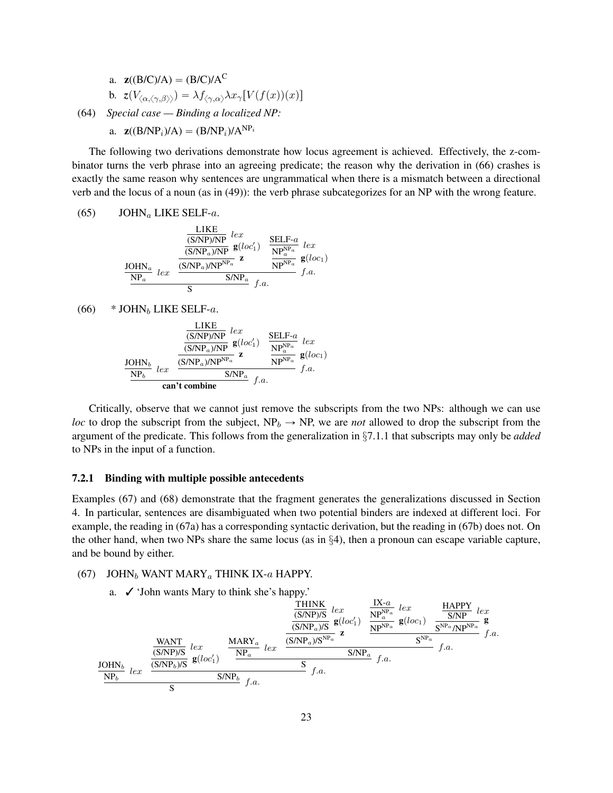a. 
$$
\mathbf{z}((B/C)/A) = (B/C)/A^C
$$
  
\nb.  $\mathbf{z}(V_{\langle\alpha,\langle\gamma,\beta\rangle\rangle}) = \lambda f_{\langle\gamma,\alpha\rangle}\lambda x_{\gamma}[V(f(x))(x)]$   
\n(64) Special case — Binding a localized NP:

a.  $z((B/NP_i)/A) = (B/NP_i)/A^{NP_i}$ 

The following two derivations demonstrate how locus agreement is achieved. Effectively, the z-combinator turns the verb phrase into an agreeing predicate; the reason why the derivation in (66) crashes is exactly the same reason why sentences are ungrammatical when there is a mismatch between a directional verb and the locus of a noun (as in (49)): the verb phrase subcategorizes for an NP with the wrong feature.

(65) 
$$
JOHN_a LIKE SELF-a
$$
.

JOHN<sup>a</sup> NP<sup>a</sup> lex LIKE (S/NP)/NP lex (S/NPa)/NP <sup>g</sup>ploc<sup>1</sup> 1q (S/NPa)/NPNP<sup>a</sup> z SELF-a NPNP<sup>a</sup> a lex NPNP<sup>a</sup> gploc1q S/NP<sup>a</sup> f.a. S f.a.

(66) 
$$
*
$$
 JOHN<sub>b</sub> LIKE SELF-a.

JOHN<sup>b</sup> NP<sup>b</sup> lex LIKE (S/NP)/NP lex (S/NPa)/NP <sup>g</sup>ploc<sup>1</sup> 1q (S/NPa)/NPNP<sup>a</sup> z SELF-a NPNP<sup>a</sup> a lex NPNP<sup>a</sup> gploc1q S/NP<sup>a</sup> f.a. can't combine f.a.

Critically, observe that we cannot just remove the subscripts from the two NPs: although we can use *loc* to drop the subscript from the subject,  $NP_b \rightarrow NP$ , we are *not* allowed to drop the subscript from the argument of the predicate. This follows from the generalization in §7.1.1 that subscripts may only be *added* to NPs in the input of a function.

### 7.2.1 Binding with multiple possible antecedents

Examples (67) and (68) demonstrate that the fragment generates the generalizations discussed in Section 4. In particular, sentences are disambiguated when two potential binders are indexed at different loci. For example, the reading in (67a) has a corresponding syntactic derivation, but the reading in (67b) does not. On the other hand, when two NPs share the same locus (as in §4), then a pronoun can escape variable capture, and be bound by either.

#### (67) JOHN<sub>b</sub> WANT MARY<sub>a</sub> THINK IX-a HAPPY.

a. ✓ 'John wants Mary to think she's happy.'

$$
\begin{array}{c|c|c|c|c|c|c|c} \hline & & & & & \hline & & & & \hline & & & & & \hline & & & & & \hline & & & & & \hline & & & & & \hline & & & & & \hline & & & & & \hline & & & & & \hline & & & & & \hline & & & & & \hline & & & & & \hline & & & & & \hline & & & & & \hline & & & & & \hline & & & & & \hline & & & & & \hline & & & & & \hline & & & & & \hline & & & & & \hline & & & & & \hline & & & & & \hline & & & & & \hline & & & & & \hline & & & & & \hline & & & & & \hline & & & & & \hline & & & & & \hline & & & & & \hline & & & & & \hline & & & & & \hline & & & & & \hline & & & & & \hline & & & & & \hline & & & & & \hline & & & & & \hline & & & & & \hline & & & & & \hline & & & & & \hline & & & & & \hline & & & & & \hline & & & & & \hline & & & & & \hline & & & & & \hline & & & & & \hline & & & & & \hline & & & & & \hline & & & & & \hline & & & & & \hline & & & & & \hline & & & & & \hline & & & & & \hline & & & & & \hline & & & & & \hline & & & & & \hline & & & & & \hline & & & & & \hline & & & & & \hline & & & & & \hline & & & & & \hline & & & & & \hline & & & & & \hline & & & & & \hline & & & & & \hline & & & & & \hline & & & & & \hline & & & & & \hline & & & & & \hline & & & & & \hline & & & & & \hline & & & & & \hline & & & & & \hline & & & & & \hline & & & & & \hline & & & & & \hline & & & & & \hline & & & & & \hline & & & & & \hline & & & & & \hline & & & & & \hline & & & & & \hline & & & & & \hline & & & & & \hline & & & & & \hline & & & & & \hline & & & & & \hline & & & & & \hline & & & & & \hline & & & & & \hline & & & & & \hline & & & & & \hline & & & & & \hline &
$$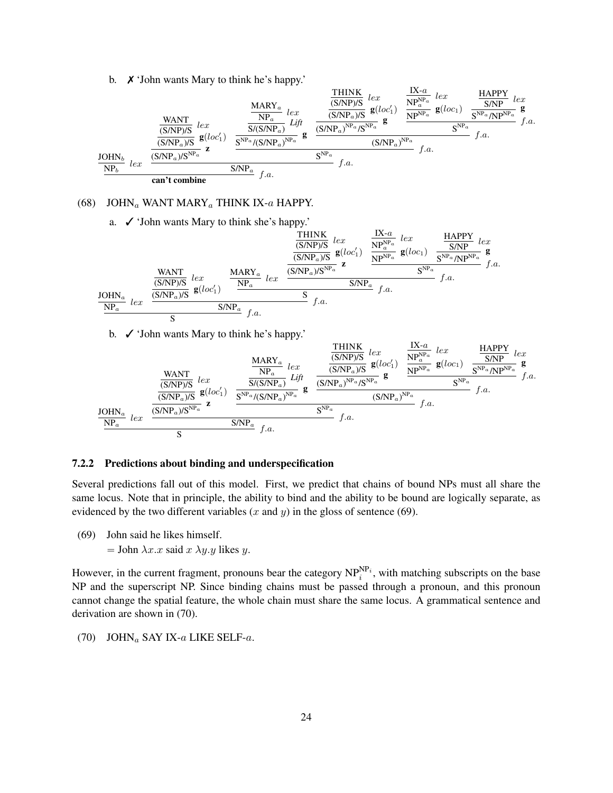b. ✗ 'John wants Mary to think he's happy.'

$$
\frac{\text{WANT}}{\text{S/NP}}\underset{lex}{\text{max}}\underset{\text{C}}{\text{WANT}}\underset{lex}{\text{max}}\underset{f. a.}{\text{max}}\frac{\frac{\text{MARY}_{a}}{\text{NP}_{a}}}{\text{S/NP}_{a}}\underset{g}{\text{log}}\underset{lte}{\text{log}}\frac{\frac{\text{HINK}}{\text{S/NP}}\underset{lex}{\text{S/NP}_{a}}}{\text{log}}\underset{g}{\text{log}}\frac{\frac{\text{MARY}_{a}}{\text{NP}_{a}}}{\text{S/NP}_{a}}\underset{lte}{\text{log}}\frac{\text{MARY}_{a}}{\text{S/NP}_{a}}\underset{lte}{\text{log}}\frac{\frac{\text{HINK}}{\text{S/NP}_{a}}\underset{lex}{\text{log}}\frac{\text{log}}{\text{log}}\frac{\text{MAPY}_{a}}{\text{S/NP}_{a}}\underset{lex}{\text{log}}\frac{\text{MAPY}_{a}}{\text{S/NP}_{a}}\frac{\text{log}}{\text{log}}\frac{\text{log}}{\text{S/NP}_{a}}\frac{\text{MAPY}_{a}}{\text{S/NP}_{a}}\frac{\text{log}}{\text{S/NP}_{a}}\frac{\text{MAPY}_{a}}{\text{S/NP}_{a}}\frac{\text{log}}{\text{S/NP}_{a}}\frac{\text{log}}{\text{S/NP}_{a}}\frac{\text{log}}{\text{S/NP}_{a}}\frac{\text{log}}{\text{S/NP}_{a}}\frac{\text{log}}{\text{S/NP}_{a}}\frac{\text{log}}{\text{S/NP}_{a}}\frac{\text{log}}{\text{S/NP}_{a}}\frac{\text{log}}{\text{S/NP}_{a}}\frac{\text{log}}{\text{S/NP}_{a}}\frac{\text{log}}{\text{S/NP}_{a}}\frac{\text{log}}{\text{S/NP}_{a}}\frac{\text{log}}{\text{S/NP}_{a}}\frac{\text{log}}{\text{S/NP}_{a}}\frac{\text{log}}{\text{S/NP}_{a}}\frac{\text{log}}{\text{S/NP}_{a}}\frac{\text{log}}{\text{S/NP}_{a}}\frac{\text{log}}{\text{S/NP}_{a}}\frac{\text{log}}{\text{S/NP}_{a}}\frac{\text{log}}{\text{S/NP}_{a}}\frac{\text{log}}{\text{S/NP}_{a}}\frac{\text{log}}{\text{S/NP}_{a}}\frac{\text{log}}{\
$$

### (68) JOHN<sub>a</sub> WANT MARY<sub>a</sub> THINK IX- $a$  HAPPY.

a. ✓ 'John wants Mary to think she's happy.'

$$
\begin{array}{c|c|c|c|c|c|c|c} \hline & & & & \hline & & & & \hline & & & & \hline & & & & \hline & & & & & \hline & & & & & \hline & & & & & \hline & & & & & \hline & & & & & \hline & & & & & \hline & & & & & \hline & & & & & \hline & & & & & \hline & & & & & \hline & & & & & \hline & & & & & \hline & & & & & \hline & & & & & \hline & & & & & \hline & & & & & \hline & & & & & \hline & & & & & \hline & & & & & \hline & & & & & \hline & & & & & \hline & & & & & \hline & & & & & \hline & & & & & \hline & & & & & \hline & & & & & \hline & & & & & \hline & & & & & \hline & & & & & \hline & & & & & \hline & & & & & \hline & & & & & \hline & & & & & \hline & & & & & \hline & & & & & \hline & & & & & \hline & & & & & \hline & & & & & \hline & & & & & \hline & & & & & \hline & & & & & \hline & & & & & \hline & & & & & \hline & & & & & \hline & & & & & \hline & & & & & \hline & & & & & \hline & & & & & \hline & & & & & \hline & & & & & \hline & & & & & \hline & & & & & \hline & & & & & \hline & & & & & \hline & & & & & \hline & & & & & \hline & & & & & \hline & & & & & \hline & & & & & \hline & & & & & \hline & & & & & \hline & & & & & \hline & & & & & \hline & & & & & \hline & & & & & \hline & & & & & \hline & & & & & \hline & & & & & \hline & & & & & \hline & & & & & \hline & & & & & \hline & & & & & \hline & & & & & \hline & & & & & \hline & & & & & \hline & & & & & \hline & & & & & \hline & & & & & \hline & & & & & \hline & & & & & \hline & & & & & \hline & & & & & \hline & & & & & \hline & & & & & \hline & & & & & \hline & & & & & \hline & & & & & \hline & & & & & \hline & & & &
$$

b. ✓ 'John wants Mary to think he's happy.'

$$
\frac{\text{WANT}}{\text{S/NP}}\underset{lex}{\text{max}}\underset{lex}{\text{max}}\frac{\frac{\text{MARY}_a}{\text{NPR}_a}\underset{lex}{\text{max}}}{\text{max}}\frac{\frac{\text{HANK}}{\text{NP}_a}}{\text{S/NP}}\underset{lex}{\text{sum}}\underset{lat}{\text{max}}\frac{\frac{\text{THINK}}{\text{S/NP}}\underset{lex}{\text{S/NP}_a}}{\text{max}}\underset{lat}{\text{min}}\frac{\frac{\text{HAPY}}{\text{S/NP}_a}\underset{lex}{\text{max}}}{\text{max}}\frac{\frac{\text{HAPY}}{\text{S/NP}_a}\underset{lex}{\text{S/NP}_a}\underset{lex}{\text{min}}}{\text{min}}\frac{\frac{\text{HNNK}}{\text{S/NP}_a}\underset{lex}{\text{S/NP}_a}\underset{lex}{\text{min}}\frac{\frac{\text{HNNK}}{\text{S/NP}_a}\underset{lex}{\text{S/NP}_a}\frac{\text{Lex}}{\text{S/NP}_a}\frac{\frac{\text{HAPY}}{\text{NP}_a}\underset{lex}{\text{S/NP}_a}\underset{lex}{\text{S/NP}_a}\frac{\text{HAPY}}{\text{S/NP}_a}\frac{\text{Lex}}{\text{S/NP}_a}\frac{\frac{\text{HAPY}}{\text{S/NP}_a}\underset{lex}{\text{S/NP}_a}\frac{\text{Lex}}{\text{S/NP}_a}\frac{\frac{\text{HAPY}}{\text{S/NP}_a}\underset{lex}{\text{S/NP}_a}\frac{\text{Lex}}{\text{S/NP}_a}\frac{\frac{\text{HAPY}}{\text{S/NP}_a}\underset{lex}{\text{S/NP}_a}\frac{\text{Lex}}{\text{S/NP}_a}}{\text{S/NP}_a}\frac{\frac{\text{HAPY}}{\text{S/NP}_a}\underset{lex}{\text{S/NP}_a}\frac{\text{Lex}}{\text{S/NP}_a}\frac{\frac{\text{HAPY}}{\text{S/NP}_a}\underset{lex}{\text{S/NP}_a}\frac{\text{Lex}}{\text{S/NP}_a}\frac{\text{HAPY}}{\text{S/NP}_a}\frac{\text{Lex}}{\text{S/NP}_a}\frac{\text{Lex}}{\text{S/NP}_a}\frac{\text{Lex}}{\text{S/NP}_a}\frac{\text{Lex}}{\text{S/NP}_a
$$

**THINK** 

#### 7.2.2 Predictions about binding and underspecification

Several predictions fall out of this model. First, we predict that chains of bound NPs must all share the same locus. Note that in principle, the ability to bind and the ability to be bound are logically separate, as evidenced by the two different variables  $(x \text{ and } y)$  in the gloss of sentence (69).

- (69) John said he likes himself.
	- $=$  John  $\lambda x.x$  said  $x \lambda y.y$  likes y.

However, in the current fragment, pronouns bear the category  $NP_i^{NP_i}$ , with matching subscripts on the base NP and the superscript NP. Since binding chains must be passed through a pronoun, and this pronoun cannot change the spatial feature, the whole chain must share the same locus. A grammatical sentence and derivation are shown in (70).

(70) JOHN<sub>a</sub> SAY IX-a LIKE SELF-a.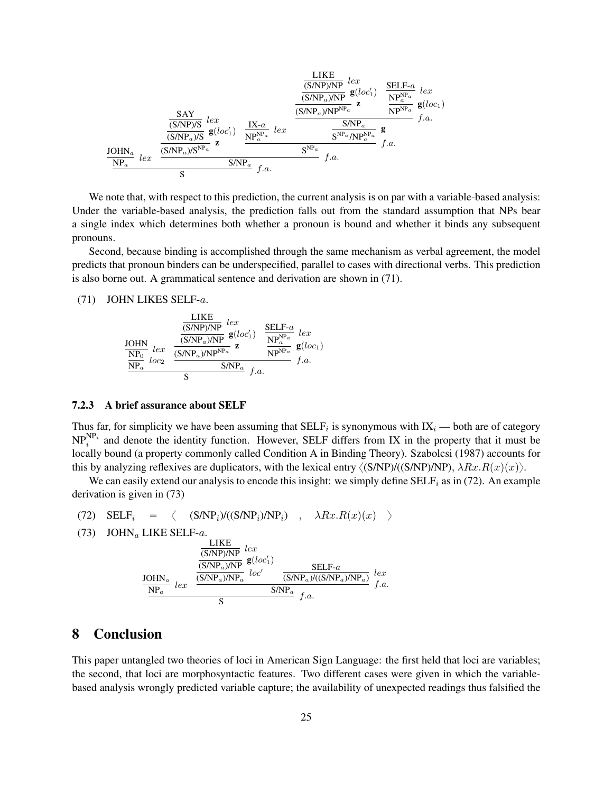$$
\frac{\frac{\text{LIKE}}{(\text{S/NP})/\text{NP}} \text{ } \underset{\mathbf{Z}}{e}(loc_1')}{\frac{\text{SAY}}{\frac{(\text{S/NP})}{(\text{S/NP}_a)/\text{NP}} \text{ } \mathbf{Z}} \text{ } \underset{\mathbf{Z}}{e}(loc_1')}{\frac{\text{SAY}}{\frac{\text{SAY}}{(\text{S/NP}_a)/\text{S}} \text{ } lex} \text{ } \frac{\frac{\text{SIKE}}{(\text{S/NP}_a)/\text{NP}^{\text{NP}_a}} \text{ } \mathbf{Z}}{\frac{\text{(S/NP}_a)/\text{NP}^{\text{NP}_a}}{\text{ } \mathbf{Z}} \text{ } \mathbf{Z}} \text{ } \underset{\mathbf{Z}}{e}(loc_1) \frac{\frac{\text{SIKE}}{(\text{S/NP}_a)/\text{NP}^{\text{NP}_a}} \text{ } \mathbf{Z}}{\frac{\text{S/NP}_a}{\text{ } \mathbf{S}^{\text{NP}_a}/\text{NP}^{\text{NP}_a}} \text{ } \mathbf{Z}} \text{ } f.a.
$$
\n
$$
\frac{\text{JOHN}_a}{\text{NP}_a} \text{ } lex \text{ } \frac{\text{S/NP}_a/\text{S}^{\text{NP}_a}}{\text{ } \mathbf{S}^{\text{}} \text{ } \mathbf{S}^{\text{}} \text{ } \mathbf{Z}} \text{ } \mathbf{Z}}{\text{ } \mathbf{S}^{\text{}} \text{ } \mathbf{S}^{\text{}} \text{ } \mathbf{Z}} \text{ } f.a.
$$

We note that, with respect to this prediction, the current analysis is on par with a variable-based analysis: Under the variable-based analysis, the prediction falls out from the standard assumption that NPs bear a single index which determines both whether a pronoun is bound and whether it binds any subsequent pronouns.

Second, because binding is accomplished through the same mechanism as verbal agreement, the model predicts that pronoun binders can be underspecified, parallel to cases with directional verbs. This prediction is also borne out. A grammatical sentence and derivation are shown in (71).

### (71) JOHN LIKES SELF-a.



### 7.2.3 A brief assurance about SELF

Thus far, for simplicity we have been assuming that  $\text{SELF}_{i}$  is synonymous with  $IX_{i}$  — both are of category  $NP_i^{NP_i}$  and denote the identity function. However, SELF differs from IX in the property that it must be locally bound (a property commonly called Condition A in Binding Theory). Szabolcsi (1987) accounts for this by analyzing reflexives are duplicators, with the lexical entry  $\langle (S/NP)/(S/NP) \rangle$ ,  $\lambda Rx.R(x)(x)\rangle$ .

We can easily extend our analysis to encode this insight: we simply define  $SELF<sub>i</sub>$  as in (72). An example derivation is given in (73)

(72) 
$$
SELF_i = \langle (S/NP_i)/((S/NP_i)/NP_i) , \lambda Rx.R(x)(x) \rangle
$$

(73) JOHN<sub>a</sub> LIKE SELF-a.

$$
\frac{\text{LIKE}}{\text{(S/NP/A)NP}} \text{lex}
$$
\n
$$
\frac{\text{(S/NP/A)NP}}{\text{(S/NP}_a)\text{NP}_a} \text{g}(loc_1')
$$
\n
$$
\frac{\text{SELF-}a}{\text{SE}} \text{LEX}
$$
\n
$$
\frac{\text{JOHN}_a}{\text{NP}_a} \text{lex}
$$
\n
$$
\frac{\text{S/NP}_a}{\text{SNP}_a} \text{f.a.}
$$
\n
$$
\frac{\text{S/NP}_a}{\text{S}} \text{f.a.}
$$

## 8 Conclusion

This paper untangled two theories of loci in American Sign Language: the first held that loci are variables; the second, that loci are morphosyntactic features. Two different cases were given in which the variablebased analysis wrongly predicted variable capture; the availability of unexpected readings thus falsified the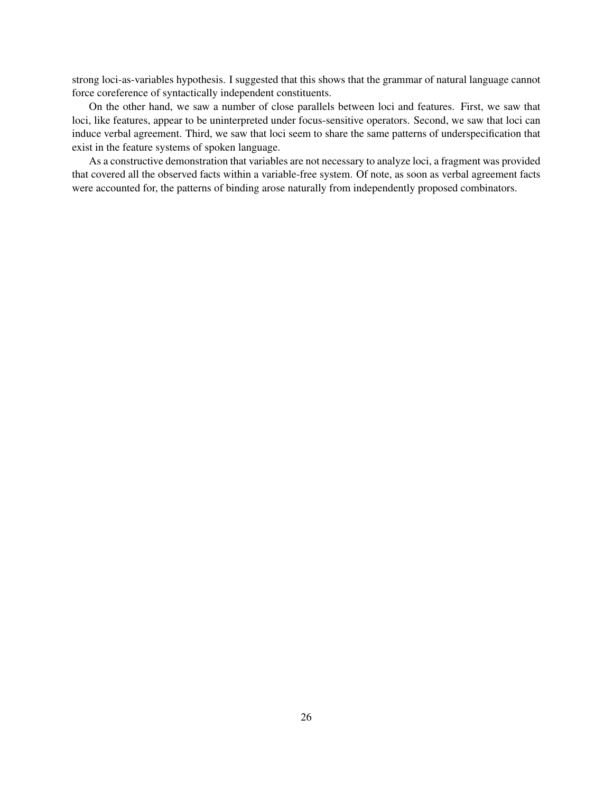strong loci-as-variables hypothesis. I suggested that this shows that the grammar of natural language cannot force coreference of syntactically independent constituents.

On the other hand, we saw a number of close parallels between loci and features. First, we saw that loci, like features, appear to be uninterpreted under focus-sensitive operators. Second, we saw that loci can induce verbal agreement. Third, we saw that loci seem to share the same patterns of underspecification that exist in the feature systems of spoken language.

As a constructive demonstration that variables are not necessary to analyze loci, a fragment was provided that covered all the observed facts within a variable-free system. Of note, as soon as verbal agreement facts were accounted for, the patterns of binding arose naturally from independently proposed combinators.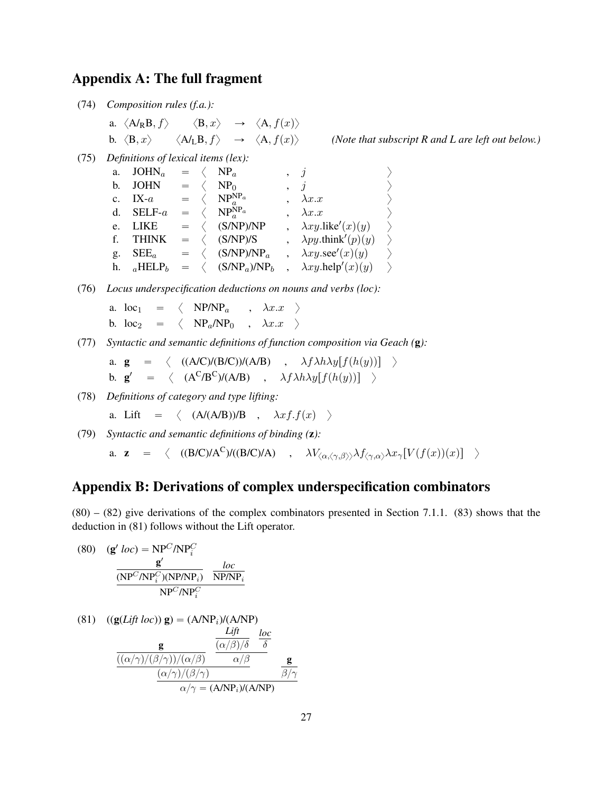# Appendix A: The full fragment

(74) *Composition rules (f.a.):*

\n- a. 
$$
\langle A/RB, f \rangle
$$
  $\langle B, x \rangle$   $\rightarrow$   $\langle A, f(x) \rangle$
\n- b.  $\langle B, x \rangle$   $\langle A/LB, f \rangle$   $\rightarrow$   $\langle A, f(x) \rangle$  *(Note that subscript R and L are left out below.)*
\n

(75) *Definitions of lexical items (lex):*

| a. $JOHN_a$       |  | $= \langle NP_a$                                                           | $\, \, , \, \, j \,$             |               |
|-------------------|--|----------------------------------------------------------------------------|----------------------------------|---------------|
| b. JOHN           |  | $= \langle NP_0$                                                           | $\, , \quad j$                   | $\rightarrow$ |
| c. IX- $a$        |  | $= \langle NP_a^{\text{NP}_a}$                                             | $\lambda x.x$                    | $\rightarrow$ |
| d. SELF- $a$      |  | $= \langle NP_a^{NP_a} \rangle$                                            | $\lambda x.x$                    | $\rightarrow$ |
| e. LIKE           |  | $= \langle$ (S/NP)/NP                                                      | $\lambda xy$ .like'(x)(y)        | $\rightarrow$ |
| f. THINK          |  | $= \langle$ (S/NP)/S                                                       | $\lambda py.$ think'(p)(y)       | $\rightarrow$ |
| g. $\text{SEE}_a$ |  | $= \langle$ (S/NP)/NP <sub>a</sub>                                         | $\lambda xy \sec'(x)(y)$         |               |
|                   |  | h. $_a$ HELP <sub>b</sub> = $\langle$ (S/NP <sub>a</sub> )/NP <sub>b</sub> | $\lambda xy \text{.help}'(x)(y)$ | $\rightarrow$ |
|                   |  |                                                                            |                                  |               |

(76) *Locus underspecification deductions on nouns and verbs (loc):*

a.  $\log_1 = \langle N_P/N_P \rangle$ ,  $\lambda x . x \rangle$ b.  $\log_2 = \langle \text{NP}_a/\text{NP}_0 , \lambda x.x \rangle$ 

(77) *Syntactic and semantic definitions of function composition via Geach (*g*):*

a. 
$$
\mathbf{g} = \langle ((A/C)/(B/C))/(A/B) , \lambda f \lambda h \lambda y [f(h(y))]
$$
   
b.  $\mathbf{g}' = \langle (A^C/B^C)/(A/B) , \lambda f \lambda h \lambda y [f(h(y))]$ 

(78) *Definitions of category and type lifting:*

a. Lift = 
$$
\langle (A/(A/B))/B , \lambda x f.f(x) \rangle
$$

(79) *Syntactic and semantic definitions of binding (*z*):* a. z =  $\langle ((B/C)/A^C)/((B/C)/A)$  ,  $\lambda V_{\langle\alpha,\langle\gamma,\beta\rangle\rangle}\lambda f_{\langle\gamma,\alpha\rangle}\lambda x_{\gamma}[V(f(x))(x)]$   $\rangle$ 

# Appendix B: Derivations of complex underspecification combinators

 $(80) - (82)$  give derivations of the complex combinators presented in Section 7.1.1.  $(83)$  shows that the deduction in (81) follows without the Lift operator.

(80) 
$$
(\mathbf{g}' \text{ loc}) = \text{NP}^C/\text{NP}_i^C
$$

$$
\frac{\mathbf{g}'}{(\text{NP}^C/\text{NP}_i^C)(\text{NP}/\text{NP}_i)} \frac{\text{loc}}{\text{NP}/\text{NP}_i}
$$

$$
\frac{\text{NP}^C/\text{NP}_i^C}{\text{NP}^C/\text{NP}_i^C}
$$

(81) 
$$
((\mathbf{g}(Lift loc)) \mathbf{g}) = (A/NP_i)/(A/NP)
$$
  
\n
$$
\frac{Lift}{Lift} \frac{loc}{(\alpha/\beta)/\delta} \frac{loc}{\delta}
$$
\n
$$
\frac{(\alpha/\gamma)/(\beta/\gamma))/(\alpha/\beta)}{(\alpha/\gamma)/(\beta/\gamma)} \frac{d\beta}{\alpha/\beta} \frac{\mathbf{g}}{\beta/\gamma}
$$
\n
$$
\frac{(\alpha/\gamma)/(\beta/\gamma)}{\alpha/\gamma} = (A/NP_i)/(A/NP)
$$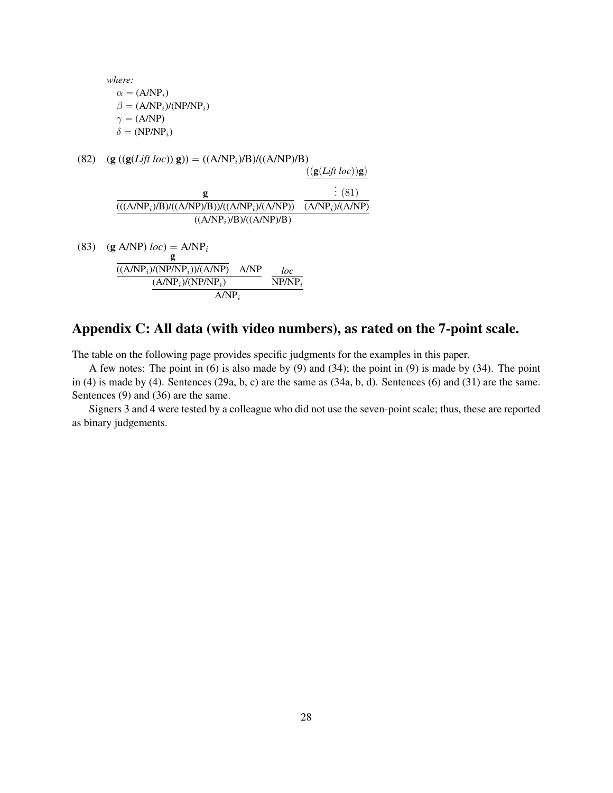*where:*  $\alpha = (A/NP_i)$  $\beta = (A/NP_i)/(NP/NP_i)$  $\gamma = (A/NP)$  $\delta = (NP/NP_i)$ 

- (82)  $(g (g(Lift loc)) g)) = ((A/NP<sub>i</sub>)/B)/((A/NP)/B)$ g  $(((A/NP<sub>i</sub>)/B)/((A/NP)/B))/((A/NP<sub>i</sub>)/(A/NP))$  $\frac{f(\mathbf{g}(Lift\;loc))\mathbf{g})}{g(\mathbf{g}(Lift\;loc))}$ . .  $: (81)$  $(A/NP<sub>i</sub>)/(A/NP)$  $\overline{((A/NP_i)/B)/((A/NP)}/B)$
- (83) (g A/NP)  $loc$ ) = A/NP<sub>i</sub> g  $((A/NP_i)/(NP/NP_i))/(A/NP)$  A/NP  $(A/NP_i)/(NP/NP_i)$ *loc*  $N P/N P_i$  $A/NP_i$

# Appendix C: All data (with video numbers), as rated on the 7-point scale.

The table on the following page provides specific judgments for the examples in this paper.

A few notes: The point in (6) is also made by (9) and (34); the point in (9) is made by (34). The point in (4) is made by (4). Sentences (29a, b, c) are the same as (34a, b, d). Sentences (6) and (31) are the same. Sentences (9) and (36) are the same.

Signers 3 and 4 were tested by a colleague who did not use the seven-point scale; thus, these are reported as binary judgements.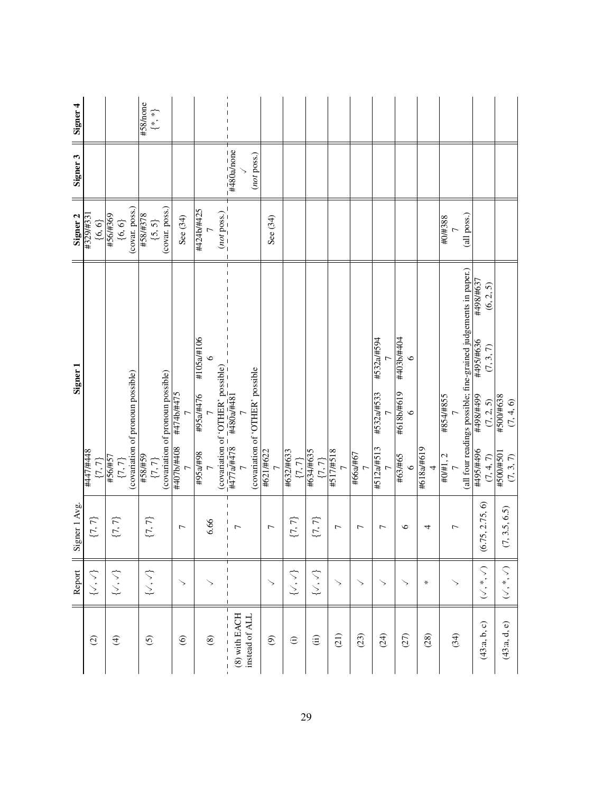|                                   | Report                           | Signer 1 Avg                                                                                                                                                                                                                                                                                                                                                                                                       | Signer <sub>1</sub>                                                                                  | Signer <sub>2</sub>                      | Signer <sub>4</sub><br>Signer 3                 |
|-----------------------------------|----------------------------------|--------------------------------------------------------------------------------------------------------------------------------------------------------------------------------------------------------------------------------------------------------------------------------------------------------------------------------------------------------------------------------------------------------------------|------------------------------------------------------------------------------------------------------|------------------------------------------|-------------------------------------------------|
| $\widehat{c}$                     | グル                               | $\{7,7\}$                                                                                                                                                                                                                                                                                                                                                                                                          | #447/#448<br>${7, 7}$                                                                                | #329/#331<br>${6, 6}$                    |                                                 |
| $\bigoplus$                       | $\{ \mathcal{N}, \mathcal{N} \}$ | $\{7,7\}$                                                                                                                                                                                                                                                                                                                                                                                                          | $\{7, 7\}$<br>(covariation of pronoun possible)<br>#56/#57                                           | (covar. poss.)<br>#56/#369<br>$\{6,6\}$  |                                                 |
| $\overline{6}$                    | $\{ \mathcal{N}, \mathcal{N} \}$ | $\{7,7\}$                                                                                                                                                                                                                                                                                                                                                                                                          | (covariation of pronoun possible)<br>#58/#59<br>$\{7,7\}$                                            | (covar. poss.)<br>#58/#378<br>$\{5, 5\}$ | #58/none<br>$\left\{\stackrel{*}{\cdot}\right.$ |
| $\odot$                           | $\mathord{>}$                    | $\overline{ }$                                                                                                                                                                                                                                                                                                                                                                                                     | #474b/#475<br>807#/9/207#                                                                            | See (34)                                 |                                                 |
| $\circledast$                     |                                  | 6.66                                                                                                                                                                                                                                                                                                                                                                                                               | #105a/#106<br>94#7856#<br>#95a/#98                                                                   | #424b/#425<br>(not pos.)                 |                                                 |
| $(8)$ with EACH<br>instead of ALI |                                  | $\overline{ }$<br>$\begin{array}{c} \rule{0pt}{2.5ex} \rule{0pt}{2.5ex} \rule{0pt}{2.5ex} \rule{0pt}{2.5ex} \rule{0pt}{2.5ex} \rule{0pt}{2.5ex} \rule{0pt}{2.5ex} \rule{0pt}{2.5ex} \rule{0pt}{2.5ex} \rule{0pt}{2.5ex} \rule{0pt}{2.5ex} \rule{0pt}{2.5ex} \rule{0pt}{2.5ex} \rule{0pt}{2.5ex} \rule{0pt}{2.5ex} \rule{0pt}{2.5ex} \rule{0pt}{2.5ex} \rule{0pt}{2.5ex} \rule{0pt}{2.5ex} \rule{0$<br>$\mathbf{I}$ | (covariation of 'OTHER' possible                                                                     |                                          | $-\frac{1}{4480}$ a/none<br>(not poss.)         |
| $\circledcirc$                    | ↘                                | $\overline{ }$                                                                                                                                                                                                                                                                                                                                                                                                     | #621/#622                                                                                            | See (34)                                 |                                                 |
| $\ominus$                         | $\{ \mathcal{N}, \mathcal{N} \}$ | $\{7,7\}$                                                                                                                                                                                                                                                                                                                                                                                                          | #632/#633<br>$\{7,7\}$                                                                               |                                          |                                                 |
| $\widehat{\mathrm{(ii)}}$         | $\{ \mathcal{N}, \mathcal{N} \}$ | $\{7,7\}$                                                                                                                                                                                                                                                                                                                                                                                                          | $\frac{+634/4635}{\{7, 7\}}$<br>$\frac{\{7, 7\}}{+517/4518}$                                         |                                          |                                                 |
| (21)                              | $\searrow$                       | $\overline{ }$                                                                                                                                                                                                                                                                                                                                                                                                     |                                                                                                      |                                          |                                                 |
| (23)                              |                                  | $\overline{ }$                                                                                                                                                                                                                                                                                                                                                                                                     | #66a/#67<br>7                                                                                        |                                          |                                                 |
| (24)                              | ↘                                | $\overline{ }$                                                                                                                                                                                                                                                                                                                                                                                                     | #532a/#594<br>#532a/#533<br>#512a/#513                                                               |                                          |                                                 |
| (27)                              |                                  | $\circ$                                                                                                                                                                                                                                                                                                                                                                                                            | +03b#1044<br>#618b/#619<br>$\circ$<br>#63/#65<br>$\circ$                                             |                                          |                                                 |
| (28)                              | $\ast$                           | 4                                                                                                                                                                                                                                                                                                                                                                                                                  | #618a/#619                                                                                           |                                          |                                                 |
| (34)                              |                                  | $\overline{ }$                                                                                                                                                                                                                                                                                                                                                                                                     | (all four readings possible; fine-grained judgements in paper.)<br>#854/#855<br>$\frac{+0}{7}$ . 2   | (all poss.)<br>#0/#388                   |                                                 |
| (43:a, b, c)                      | $(\searrow^*, \searrow)$         | (5, 2.75, 6)<br>(6.7)                                                                                                                                                                                                                                                                                                                                                                                              | LE9#/86t#<br>(6, 2, 5)<br>999#/56<br>(7, 3, 7)<br>667#/867#<br>(7, 2, 5)<br>96t#/S6t#<br>$(7, 4, 7)$ |                                          |                                                 |
| (43:a, d, e)                      | $(\searrow^*, \searrow)$         | , 3.5, 6.5)<br>$\mathcal{L}$                                                                                                                                                                                                                                                                                                                                                                                       | #500/#638<br>(7, 4, 6)<br>#500/#501<br>$(7,3,7)$                                                     |                                          |                                                 |
|                                   |                                  |                                                                                                                                                                                                                                                                                                                                                                                                                    |                                                                                                      |                                          |                                                 |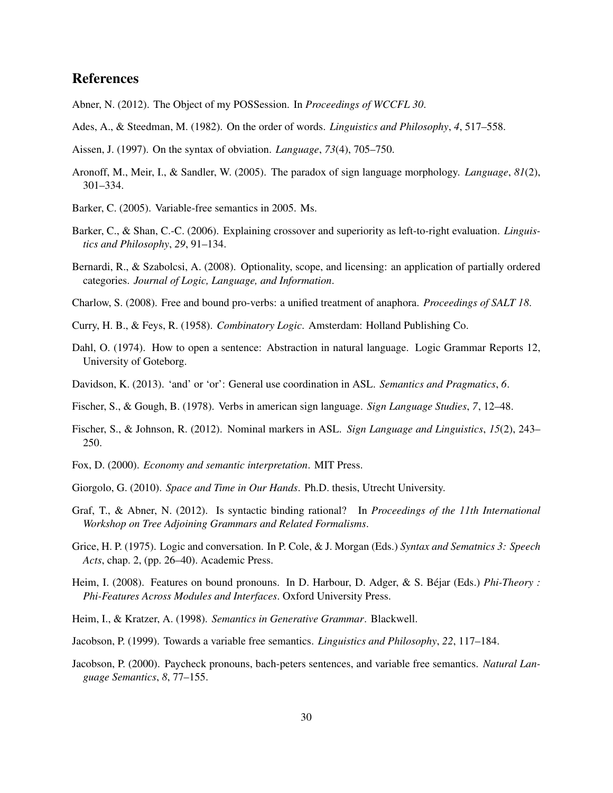# References

- Abner, N. (2012). The Object of my POSSession. In *Proceedings of WCCFL 30*.
- Ades, A., & Steedman, M. (1982). On the order of words. *Linguistics and Philosophy*, *4*, 517–558.
- Aissen, J. (1997). On the syntax of obviation. *Language*, *73*(4), 705–750.
- Aronoff, M., Meir, I., & Sandler, W. (2005). The paradox of sign language morphology. *Language*, *81*(2), 301–334.
- Barker, C. (2005). Variable-free semantics in 2005. Ms.
- Barker, C., & Shan, C.-C. (2006). Explaining crossover and superiority as left-to-right evaluation. *Linguistics and Philosophy*, *29*, 91–134.
- Bernardi, R., & Szabolcsi, A. (2008). Optionality, scope, and licensing: an application of partially ordered categories. *Journal of Logic, Language, and Information*.
- Charlow, S. (2008). Free and bound pro-verbs: a unified treatment of anaphora. *Proceedings of SALT 18*.
- Curry, H. B., & Feys, R. (1958). *Combinatory Logic*. Amsterdam: Holland Publishing Co.
- Dahl, O. (1974). How to open a sentence: Abstraction in natural language. Logic Grammar Reports 12, University of Goteborg.
- Davidson, K. (2013). 'and' or 'or': General use coordination in ASL. *Semantics and Pragmatics*, *6*.
- Fischer, S., & Gough, B. (1978). Verbs in american sign language. *Sign Language Studies*, *7*, 12–48.
- Fischer, S., & Johnson, R. (2012). Nominal markers in ASL. *Sign Language and Linguistics*, *15*(2), 243– 250.
- Fox, D. (2000). *Economy and semantic interpretation*. MIT Press.
- Giorgolo, G. (2010). *Space and Time in Our Hands*. Ph.D. thesis, Utrecht University.
- Graf, T., & Abner, N. (2012). Is syntactic binding rational? In *Proceedings of the 11th International Workshop on Tree Adjoining Grammars and Related Formalisms*.
- Grice, H. P. (1975). Logic and conversation. In P. Cole, & J. Morgan (Eds.) *Syntax and Sematnics 3: Speech Acts*, chap. 2, (pp. 26–40). Academic Press.
- Heim, I. (2008). Features on bound pronouns. In D. Harbour, D. Adger, & S. Béjar (Eds.) *Phi-Theory : Phi-Features Across Modules and Interfaces*. Oxford University Press.
- Heim, I., & Kratzer, A. (1998). *Semantics in Generative Grammar*. Blackwell.
- Jacobson, P. (1999). Towards a variable free semantics. *Linguistics and Philosophy*, *22*, 117–184.
- Jacobson, P. (2000). Paycheck pronouns, bach-peters sentences, and variable free semantics. *Natural Language Semantics*, *8*, 77–155.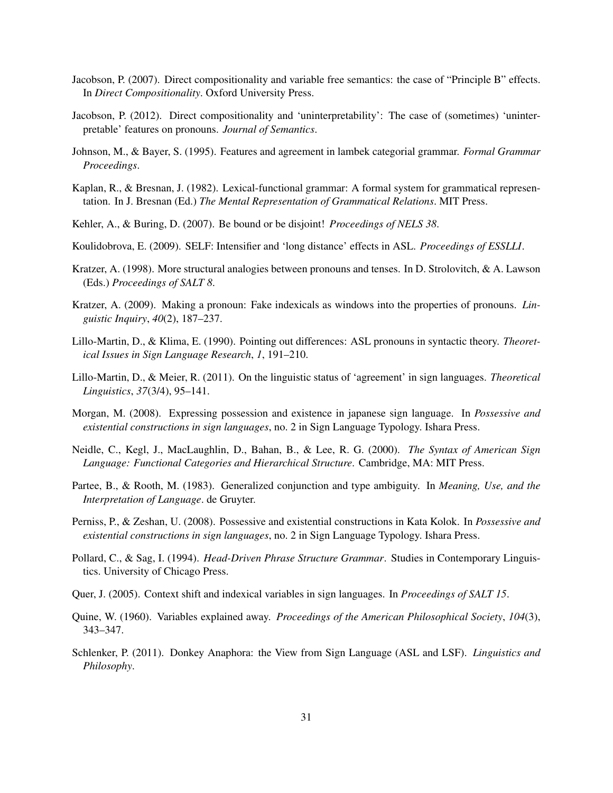- Jacobson, P. (2007). Direct compositionality and variable free semantics: the case of "Principle B" effects. In *Direct Compositionality*. Oxford University Press.
- Jacobson, P. (2012). Direct compositionality and 'uninterpretability': The case of (sometimes) 'uninterpretable' features on pronouns. *Journal of Semantics*.
- Johnson, M., & Bayer, S. (1995). Features and agreement in lambek categorial grammar. *Formal Grammar Proceedings*.
- Kaplan, R., & Bresnan, J. (1982). Lexical-functional grammar: A formal system for grammatical representation. In J. Bresnan (Ed.) *The Mental Representation of Grammatical Relations*. MIT Press.
- Kehler, A., & Buring, D. (2007). Be bound or be disjoint! *Proceedings of NELS 38*.
- Koulidobrova, E. (2009). SELF: Intensifier and 'long distance' effects in ASL. *Proceedings of ESSLLI*.
- Kratzer, A. (1998). More structural analogies between pronouns and tenses. In D. Strolovitch, & A. Lawson (Eds.) *Proceedings of SALT 8*.
- Kratzer, A. (2009). Making a pronoun: Fake indexicals as windows into the properties of pronouns. *Linguistic Inquiry*, *40*(2), 187–237.
- Lillo-Martin, D., & Klima, E. (1990). Pointing out differences: ASL pronouns in syntactic theory. *Theoretical Issues in Sign Language Research*, *1*, 191–210.
- Lillo-Martin, D., & Meier, R. (2011). On the linguistic status of 'agreement' in sign languages. *Theoretical Linguistics*, *37*(3/4), 95–141.
- Morgan, M. (2008). Expressing possession and existence in japanese sign language. In *Possessive and existential constructions in sign languages*, no. 2 in Sign Language Typology. Ishara Press.
- Neidle, C., Kegl, J., MacLaughlin, D., Bahan, B., & Lee, R. G. (2000). *The Syntax of American Sign Language: Functional Categories and Hierarchical Structure*. Cambridge, MA: MIT Press.
- Partee, B., & Rooth, M. (1983). Generalized conjunction and type ambiguity. In *Meaning, Use, and the Interpretation of Language*. de Gruyter.
- Perniss, P., & Zeshan, U. (2008). Possessive and existential constructions in Kata Kolok. In *Possessive and existential constructions in sign languages*, no. 2 in Sign Language Typology. Ishara Press.
- Pollard, C., & Sag, I. (1994). *Head-Driven Phrase Structure Grammar*. Studies in Contemporary Linguistics. University of Chicago Press.
- Quer, J. (2005). Context shift and indexical variables in sign languages. In *Proceedings of SALT 15*.
- Quine, W. (1960). Variables explained away. *Proceedings of the American Philosophical Society*, *104*(3), 343–347.
- Schlenker, P. (2011). Donkey Anaphora: the View from Sign Language (ASL and LSF). *Linguistics and Philosophy*.